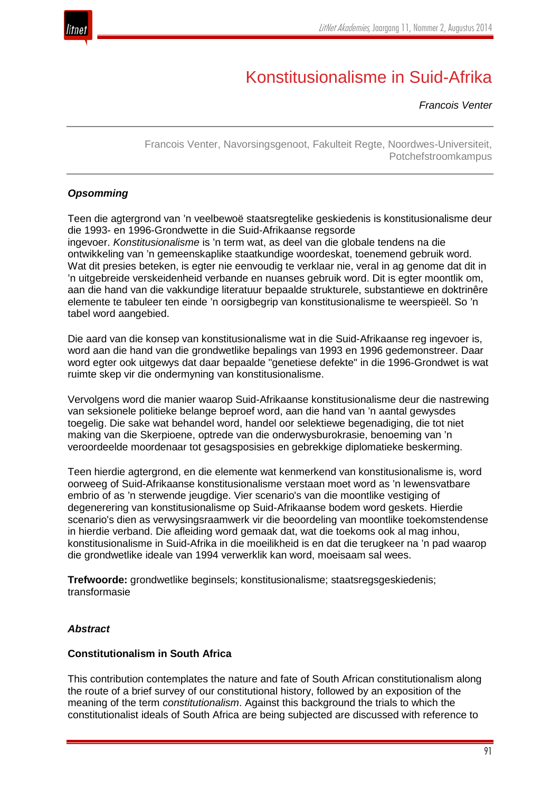

# Konstitusionalisme in Suid-Afrika

*Francois Venter*

Francois Venter, Navorsingsgenoot, Fakulteit Regte, Noordwes-Universiteit, Potchefstroomkampus

## *Opsomming*

Teen die agtergrond van 'n veelbewoë staatsregtelike geskiedenis is konstitusionalisme deur die 1993- en 1996-Grondwette in die Suid-Afrikaanse regsorde ingevoer. *Konstitusionalisme* is 'n term wat, as deel van die globale tendens na die ontwikkeling van 'n gemeenskaplike staatkundige woordeskat, toenemend gebruik word. Wat dit presies beteken, is egter nie eenvoudig te verklaar nie, veral in ag genome dat dit in 'n uitgebreide verskeidenheid verbande en nuanses gebruik word. Dit is egter moontlik om, aan die hand van die vakkundige literatuur bepaalde strukturele, substantiewe en doktrinêre elemente te tabuleer ten einde 'n oorsigbegrip van konstitusionalisme te weerspieël. So 'n tabel word aangebied.

Die aard van die konsep van konstitusionalisme wat in die Suid-Afrikaanse reg ingevoer is, word aan die hand van die grondwetlike bepalings van 1993 en 1996 gedemonstreer. Daar word egter ook uitgewys dat daar bepaalde "genetiese defekte" in die 1996-Grondwet is wat ruimte skep vir die ondermyning van konstitusionalisme.

Vervolgens word die manier waarop Suid-Afrikaanse konstitusionalisme deur die nastrewing van seksionele politieke belange beproef word, aan die hand van 'n aantal gewysdes toegelig. Die sake wat behandel word, handel oor selektiewe begenadiging, die tot niet making van die Skerpioene, optrede van die onderwysburokrasie, benoeming van 'n veroordeelde moordenaar tot gesagsposisies en gebrekkige diplomatieke beskerming.

Teen hierdie agtergrond, en die elemente wat kenmerkend van konstitusionalisme is, word oorweeg of Suid-Afrikaanse konstitusionalisme verstaan moet word as 'n lewensvatbare embrio of as 'n sterwende jeugdige. Vier scenario's van die moontlike vestiging of degenerering van konstitusionalisme op Suid-Afrikaanse bodem word geskets. Hierdie scenario's dien as verwysingsraamwerk vir die beoordeling van moontlike toekomstendense in hierdie verband. Die afleiding word gemaak dat, wat die toekoms ook al mag inhou, konstitusionalisme in Suid-Afrika in die moeilikheid is en dat die terugkeer na 'n pad waarop die grondwetlike ideale van 1994 verwerklik kan word, moeisaam sal wees.

**Trefwoorde:** grondwetlike beginsels; konstitusionalisme; staatsregsgeskiedenis; transformasie

#### *Abstract*

#### **Constitutionalism in South Africa**

This contribution contemplates the nature and fate of South African constitutionalism along the route of a brief survey of our constitutional history, followed by an exposition of the meaning of the term *constitutionalism*. Against this background the trials to which the constitutionalist ideals of South Africa are being subjected are discussed with reference to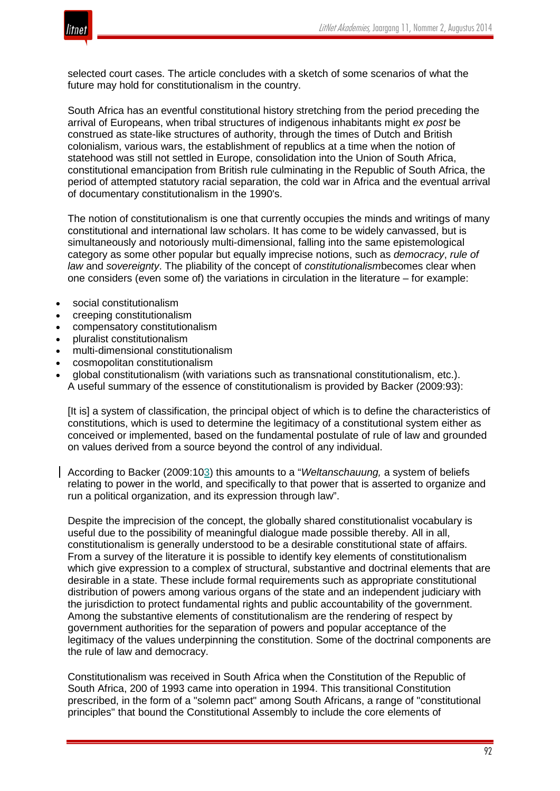

selected court cases. The article concludes with a sketch of some scenarios of what the future may hold for constitutionalism in the country.

South Africa has an eventful constitutional history stretching from the period preceding the arrival of Europeans, when tribal structures of indigenous inhabitants might *ex post* be construed as state-like structures of authority, through the times of Dutch and British colonialism, various wars, the establishment of republics at a time when the notion of statehood was still not settled in Europe, consolidation into the Union of South Africa, constitutional emancipation from British rule culminating in the Republic of South Africa, the period of attempted statutory racial separation, the cold war in Africa and the eventual arrival of documentary constitutionalism in the 1990's.

The notion of constitutionalism is one that currently occupies the minds and writings of many constitutional and international law scholars. It has come to be widely canvassed, but is simultaneously and notoriously multi-dimensional, falling into the same epistemological category as some other popular but equally imprecise notions, such as *democracy*, *rule of law* and *sovereignty*. The pliability of the concept of *constitutionalism*becomes clear when one considers (even some of) the variations in circulation in the literature – for example:

- social constitutionalism
- creeping constitutionalism
- compensatory constitutionalism
- pluralist constitutionalism
- multi-dimensional constitutionalism
- cosmopolitan constitutionalism
- global constitutionalism (with variations such as transnational constitutionalism, etc.). A useful summary of the essence of constitutionalism is provided by Backer (2009:93):

[It is] a system of classification, the principal object of which is to define the characteristics of constitutions, which is used to determine the legitimacy of a constitutional system either as conceived or implemented, based on the fundamental postulate of rule of law and grounded on values derived from a source beyond the control of any individual.

According to Backer (2009:103) this amounts to a "*Weltanschauung,* a system of beliefs relating to power in the world, and specifically to that power that is asserted to organize and run a political organization, and its expression through law".

Despite the imprecision of the concept, the globally shared constitutionalist vocabulary is useful due to the possibility of meaningful dialogue made possible thereby. All in all, constitutionalism is generally understood to be a desirable constitutional state of affairs. From a survey of the literature it is possible to identify key elements of constitutionalism which give expression to a complex of structural, substantive and doctrinal elements that are desirable in a state. These include formal requirements such as appropriate constitutional distribution of powers among various organs of the state and an independent judiciary with the jurisdiction to protect fundamental rights and public accountability of the government. Among the substantive elements of constitutionalism are the rendering of respect by government authorities for the separation of powers and popular acceptance of the legitimacy of the values underpinning the constitution. Some of the doctrinal components are the rule of law and democracy.

Constitutionalism was received in South Africa when the Constitution of the Republic of South Africa, 200 of 1993 came into operation in 1994. This transitional Constitution prescribed, in the form of a "solemn pact" among South Africans, a range of "constitutional principles" that bound the Constitutional Assembly to include the core elements of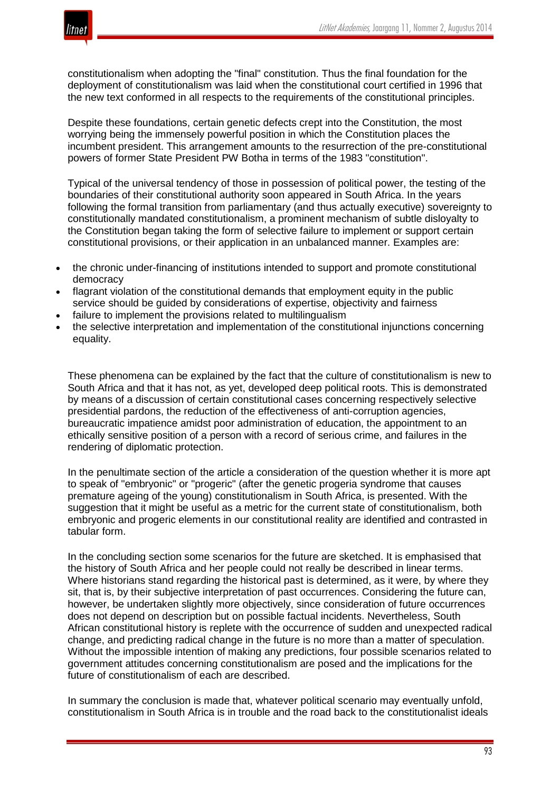

constitutionalism when adopting the "final" constitution. Thus the final foundation for the deployment of constitutionalism was laid when the constitutional court certified in 1996 that the new text conformed in all respects to the requirements of the constitutional principles.

Despite these foundations, certain genetic defects crept into the Constitution, the most worrying being the immensely powerful position in which the Constitution places the incumbent president. This arrangement amounts to the resurrection of the pre-constitutional powers of former State President PW Botha in terms of the 1983 "constitution".

Typical of the universal tendency of those in possession of political power, the testing of the boundaries of their constitutional authority soon appeared in South Africa. In the years following the formal transition from parliamentary (and thus actually executive) sovereignty to constitutionally mandated constitutionalism, a prominent mechanism of subtle disloyalty to the Constitution began taking the form of selective failure to implement or support certain constitutional provisions, or their application in an unbalanced manner. Examples are:

- the chronic under-financing of institutions intended to support and promote constitutional democracy
- flagrant violation of the constitutional demands that employment equity in the public service should be guided by considerations of expertise, objectivity and fairness
- failure to implement the provisions related to multilingualism
- the selective interpretation and implementation of the constitutional injunctions concerning equality.

These phenomena can be explained by the fact that the culture of constitutionalism is new to South Africa and that it has not, as yet, developed deep political roots. This is demonstrated by means of a discussion of certain constitutional cases concerning respectively selective presidential pardons, the reduction of the effectiveness of anti-corruption agencies, bureaucratic impatience amidst poor administration of education, the appointment to an ethically sensitive position of a person with a record of serious crime, and failures in the rendering of diplomatic protection.

In the penultimate section of the article a consideration of the question whether it is more apt to speak of "embryonic" or "progeric" (after the genetic progeria syndrome that causes premature ageing of the young) constitutionalism in South Africa, is presented. With the suggestion that it might be useful as a metric for the current state of constitutionalism, both embryonic and progeric elements in our constitutional reality are identified and contrasted in tabular form.

In the concluding section some scenarios for the future are sketched. It is emphasised that the history of South Africa and her people could not really be described in linear terms. Where historians stand regarding the historical past is determined, as it were, by where they sit, that is, by their subjective interpretation of past occurrences. Considering the future can, however, be undertaken slightly more objectively, since consideration of future occurrences does not depend on description but on possible factual incidents. Nevertheless, South African constitutional history is replete with the occurrence of sudden and unexpected radical change, and predicting radical change in the future is no more than a matter of speculation. Without the impossible intention of making any predictions, four possible scenarios related to government attitudes concerning constitutionalism are posed and the implications for the future of constitutionalism of each are described.

In summary the conclusion is made that, whatever political scenario may eventually unfold, constitutionalism in South Africa is in trouble and the road back to the constitutionalist ideals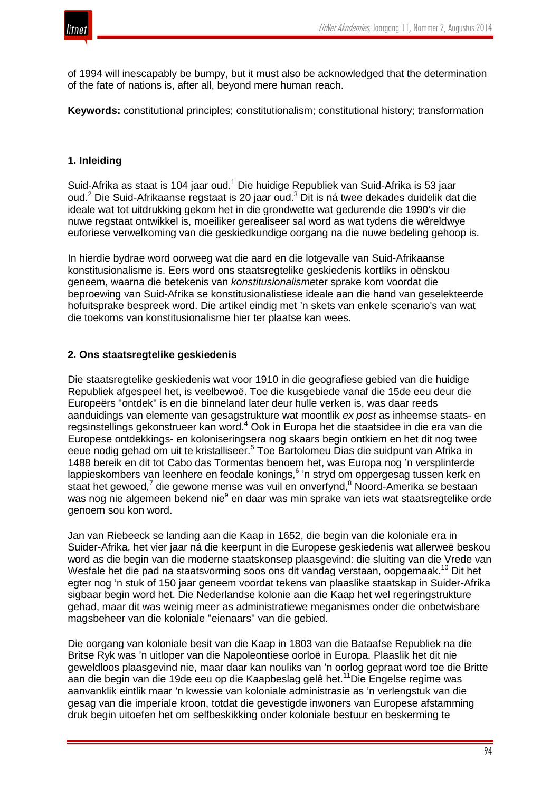

of 1994 will inescapably be bumpy, but it must also be acknowledged that the determination of the fate of nations is, after all, beyond mere human reach.

**Keywords:** constitutional principles; constitutionalism; constitutional history; transformation

## **1. Inleiding**

Suid-Afrika as staat is 104 jaar oud.<sup>1</sup> Die huidige Republiek van Suid-Afrika is 53 jaar oud.<sup>2</sup> Die Suid-Afrikaanse regstaat is 20 jaar oud.<sup>3</sup> Dit is ná twee dekades duidelik dat die ideale wat tot uitdrukking gekom het in die grondwette wat gedurende die 1990's vir die nuwe regstaat ontwikkel is, moeiliker gerealiseer sal word as wat tydens die wêreldwye euforiese verwelkoming van die geskiedkundige oorgang na die nuwe bedeling gehoop is.

In hierdie bydrae word oorweeg wat die aard en die lotgevalle van Suid-Afrikaanse konstitusionalisme is. Eers word ons staatsregtelike geskiedenis kortliks in oënskou geneem, waarna die betekenis van *konstitusionalisme*ter sprake kom voordat die beproewing van Suid-Afrika se konstitusionalistiese ideale aan die hand van geselekteerde hofuitsprake bespreek word. Die artikel eindig met 'n skets van enkele scenario's van wat die toekoms van konstitusionalisme hier ter plaatse kan wees.

## **2. Ons staatsregtelike geskiedenis**

Die staatsregtelike geskiedenis wat voor 1910 in die geografiese gebied van die huidige Republiek afgespeel het, is veelbewoë. Toe die kusgebiede vanaf die 15de eeu deur die Europeërs "ontdek" is en die binneland later deur hulle verken is, was daar reeds aanduidings van elemente van gesagstrukture wat moontlik *ex post* as inheemse staats- en regsinstellings gekonstrueer kan word.<sup>4</sup> Ook in Europa het die staatsidee in die era van die Europese ontdekkings- en koloniseringsera nog skaars begin ontkiem en het dit nog twee eeue nodig gehad om uit te kristalliseer.<sup>5</sup> Toe Bartolomeu Dias die suidpunt van Afrika in 1488 bereik en dit tot Cabo das Tormentas benoem het, was Europa nog 'n versplinterde lappieskombers van leenhere en feodale konings,<sup>6</sup> 'n stryd om oppergesag tussen kerk en staat het gewoed,<sup>7</sup> die gewone mense was vuil en onverfynd,<sup>8</sup> Noord-Amerika se bestaan was nog nie algemeen bekend nie<sup>9</sup> en daar was min sprake van iets wat staatsregtelike orde genoem sou kon word.

Jan van Riebeeck se landing aan die Kaap in 1652, die begin van die koloniale era in Suider-Afrika, het vier jaar ná die keerpunt in die Europese geskiedenis wat allerweë beskou word as die begin van die moderne staatskonsep plaasgevind: die sluiting van die Vrede van Wesfale het die pad na staatsvorming soos ons dit vandag verstaan, oopgemaak.<sup>10</sup> Dit het egter nog 'n stuk of 150 jaar geneem voordat tekens van plaaslike staatskap in Suider-Afrika sigbaar begin word het. Die Nederlandse kolonie aan die Kaap het wel regeringstrukture gehad, maar dit was weinig meer as administratiewe meganismes onder die onbetwisbare magsbeheer van die koloniale "eienaars" van die gebied.

Die oorgang van koloniale besit van die Kaap in 1803 van die Bataafse Republiek na die Britse Ryk was 'n uitloper van die Napoleontiese oorloë in Europa. Plaaslik het dit nie geweldloos plaasgevind nie, maar daar kan nouliks van 'n oorlog gepraat word toe die Britte aan die begin van die 19de eeu op die Kaapbeslag gelê het.11Die Engelse regime was aanvanklik eintlik maar 'n kwessie van koloniale administrasie as 'n verlengstuk van die gesag van die imperiale kroon, totdat die gevestigde inwoners van Europese afstamming druk begin uitoefen het om selfbeskikking onder koloniale bestuur en beskerming te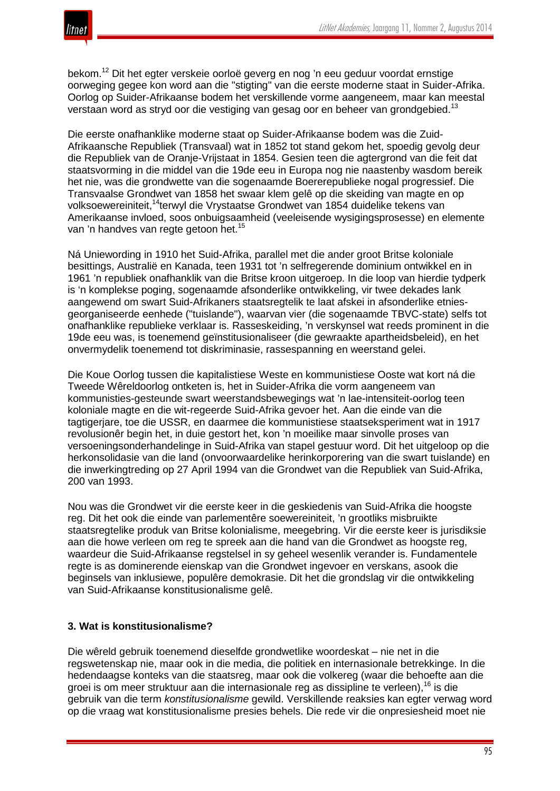

bekom.<sup>12</sup> Dit het egter verskeie oorloë geverg en nog 'n eeu geduur voordat ernstige oorweging gegee kon word aan die "stigting" van die eerste moderne staat in Suider-Afrika. Oorlog op Suider-Afrikaanse bodem het verskillende vorme aangeneem, maar kan meestal verstaan word as stryd oor die vestiging van gesag oor en beheer van grondgebied.<sup>13</sup>

Die eerste onafhanklike moderne staat op Suider-Afrikaanse bodem was die Zuid-Afrikaansche Republiek (Transvaal) wat in 1852 tot stand gekom het, spoedig gevolg deur die Republiek van de Oranje-Vrijstaat in 1854. Gesien teen die agtergrond van die feit dat staatsvorming in die middel van die 19de eeu in Europa nog nie naastenby wasdom bereik het nie, was die grondwette van die sogenaamde Boererepublieke nogal progressief. Die Transvaalse Grondwet van 1858 het swaar klem gelê op die skeiding van magte en op volksoewereiniteit,<sup>14</sup>terwyl die Vrystaatse Grondwet van 1854 duidelike tekens van Amerikaanse invloed, soos onbuigsaamheid (veeleisende wysigingsprosesse) en elemente van 'n handves van regte getoon het.<sup>15</sup>

Ná Uniewording in 1910 het Suid-Afrika, parallel met die ander groot Britse koloniale besittings, Australië en Kanada, teen 1931 tot 'n selfregerende dominium ontwikkel en in 1961 'n republiek onafhanklik van die Britse kroon uitgeroep. In die loop van hierdie tydperk is 'n komplekse poging, sogenaamde afsonderlike ontwikkeling, vir twee dekades lank aangewend om swart Suid-Afrikaners staatsregtelik te laat afskei in afsonderlike etniesgeorganiseerde eenhede ("tuislande"), waarvan vier (die sogenaamde TBVC-state) selfs tot onafhanklike republieke verklaar is. Rasseskeiding, 'n verskynsel wat reeds prominent in die 19de eeu was, is toenemend geïnstitusionaliseer (die gewraakte apartheidsbeleid), en het onvermydelik toenemend tot diskriminasie, rassespanning en weerstand gelei.

Die Koue Oorlog tussen die kapitalistiese Weste en kommunistiese Ooste wat kort ná die Tweede Wêreldoorlog ontketen is, het in Suider-Afrika die vorm aangeneem van kommunisties-gesteunde swart weerstandsbewegings wat 'n lae-intensiteit-oorlog teen koloniale magte en die wit-regeerde Suid-Afrika gevoer het. Aan die einde van die tagtigerjare, toe die USSR, en daarmee die kommunistiese staatseksperiment wat in 1917 revolusionêr begin het, in duie gestort het, kon 'n moeilike maar sinvolle proses van versoeningsonderhandelinge in Suid-Afrika van stapel gestuur word. Dit het uitgeloop op die herkonsolidasie van die land (onvoorwaardelike herinkorporering van die swart tuislande) en die inwerkingtreding op 27 April 1994 van die Grondwet van die Republiek van Suid-Afrika, 200 van 1993.

Nou was die Grondwet vir die eerste keer in die geskiedenis van Suid-Afrika die hoogste reg. Dit het ook die einde van parlementêre soewereiniteit, 'n grootliks misbruikte staatsregtelike produk van Britse kolonialisme, meegebring. Vir die eerste keer is jurisdiksie aan die howe verleen om reg te spreek aan die hand van die Grondwet as hoogste reg, waardeur die Suid-Afrikaanse regstelsel in sy geheel wesenlik verander is. Fundamentele regte is as dominerende eienskap van die Grondwet ingevoer en verskans, asook die beginsels van inklusiewe, populêre demokrasie. Dit het die grondslag vir die ontwikkeling van Suid-Afrikaanse konstitusionalisme gelê.

## **3. Wat is konstitusionalisme?**

Die wêreld gebruik toenemend dieselfde grondwetlike woordeskat – nie net in die regswetenskap nie, maar ook in die media, die politiek en internasionale betrekkinge. In die hedendaagse konteks van die staatsreg, maar ook die volkereg (waar die behoefte aan die groei is om meer struktuur aan die internasionale reg as dissipline te verleen),<sup>16</sup> is die gebruik van die term *konstitusionalisme* gewild. Verskillende reaksies kan egter verwag word op die vraag wat konstitusionalisme presies behels. Die rede vir die onpresiesheid moet nie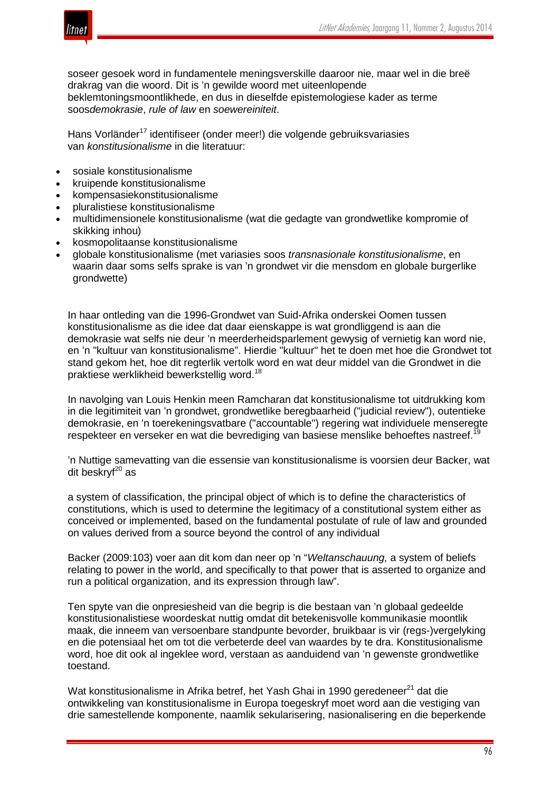

soseer gesoek word in fundamentele meningsverskille daaroor nie, maar wel in die breë drakrag van die woord. Dit is 'n gewilde woord met uiteenlopende beklemtoningsmoontlikhede, en dus in dieselfde epistemologiese kader as terme soos*demokrasie*, *rule of law* en *soewereiniteit*.

Hans Vorländer<sup>17</sup> identifiseer (onder meer!) die volgende gebruiksvariasies van *konstitusionalisme* in die literatuur:

- sosiale konstitusionalisme
- kruipende konstitusionalisme
- kompensasiekonstitusionalisme
- pluralistiese konstitusionalisme
- multidimensionele konstitusionalisme (wat die gedagte van grondwetlike kompromie of skikking inhou)
- kosmopolitaanse konstitusionalisme
- globale konstitusionalisme (met variasies soos *transnasionale konstitusionalisme*, en waarin daar soms selfs sprake is van 'n grondwet vir die mensdom en globale burgerlike grondwette)

In haar ontleding van die 1996-Grondwet van Suid-Afrika onderskei Oomen tussen konstitusionalisme as die idee dat daar eienskappe is wat grondliggend is aan die demokrasie wat selfs nie deur 'n meerderheidsparlement gewysig of vernietig kan word nie, en 'n "kultuur van konstitusionalisme". Hierdie "kultuur" het te doen met hoe die Grondwet tot stand gekom het, hoe dit regterlik vertolk word en wat deur middel van die Grondwet in die praktiese werklikheid bewerkstellig word.<sup>18</sup>

In navolging van Louis Henkin meen Ramcharan dat konstitusionalisme tot uitdrukking kom in die legitimiteit van 'n grondwet, grondwetlike beregbaarheid ("judicial review"), outentieke demokrasie, en 'n toerekeningsvatbare ("accountable") regering wat individuele menseregte respekteer en verseker en wat die bevrediging van basiese menslike behoeftes nastreef.<sup>1</sup>

'n Nuttige samevatting van die essensie van konstitusionalisme is voorsien deur Backer, wat  $dit$  beskry $f^{20}$  as

a system of classification, the principal object of which is to define the characteristics of constitutions, which is used to determine the legitimacy of a constitutional system either as conceived or implemented, based on the fundamental postulate of rule of law and grounded on values derived from a source beyond the control of any individual

Backer (2009:103) voer aan dit kom dan neer op 'n "*Weltanschauung,* a system of beliefs relating to power in the world, and specifically to that power that is asserted to organize and run a political organization, and its expression through law".

Ten spyte van die onpresiesheid van die begrip is die bestaan van 'n globaal gedeelde konstitusionalistiese woordeskat nuttig omdat dit betekenisvolle kommunikasie moontlik maak, die inneem van versoenbare standpunte bevorder, bruikbaar is vir (regs-)vergelyking en die potensiaal het om tot die verbeterde deel van waardes by te dra. Konstitusionalisme word, hoe dit ook al ingeklee word, verstaan as aanduidend van 'n gewenste grondwetlike toestand.

Wat konstitusionalisme in Afrika betref, het Yash Ghai in 1990 geredeneer<sup>21</sup> dat die ontwikkeling van konstitusionalisme in Europa toegeskryf moet word aan die vestiging van drie samestellende komponente, naamlik sekularisering, nasionalisering en die beperkende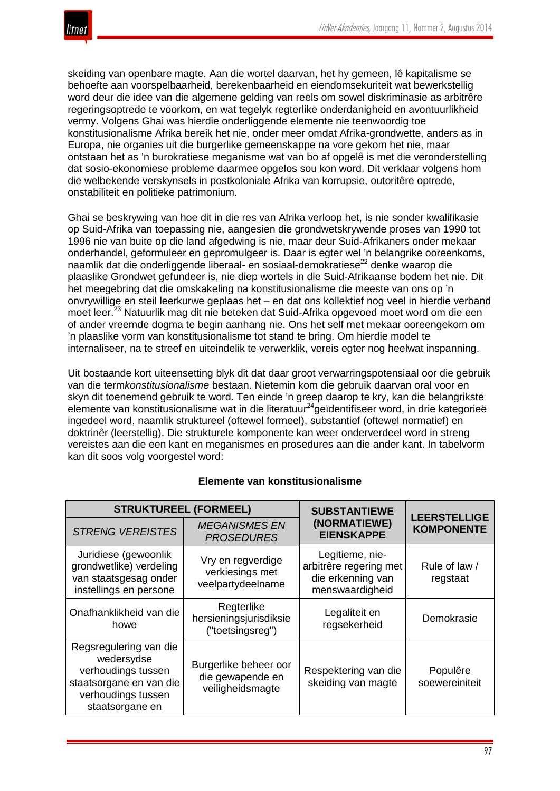skeiding van openbare magte. Aan die wortel daarvan, het hy gemeen, lê kapitalisme se behoefte aan voorspelbaarheid, berekenbaarheid en eiendomsekuriteit wat bewerkstellig word deur die idee van die algemene gelding van reëls om sowel diskriminasie as arbitrêre regeringsoptrede te voorkom, en wat tegelyk regterlike onderdanigheid en avontuurlikheid vermy. Volgens Ghai was hierdie onderliggende elemente nie teenwoordig toe konstitusionalisme Afrika bereik het nie, onder meer omdat Afrika-grondwette, anders as in Europa, nie organies uit die burgerlike gemeenskappe na vore gekom het nie, maar ontstaan het as 'n burokratiese meganisme wat van bo af opgelê is met die veronderstelling dat sosio-ekonomiese probleme daarmee opgelos sou kon word. Dit verklaar volgens hom die welbekende verskynsels in postkoloniale Afrika van korrupsie, outoritêre optrede, onstabiliteit en politieke patrimonium.

Ghai se beskrywing van hoe dit in die res van Afrika verloop het, is nie sonder kwalifikasie op Suid-Afrika van toepassing nie, aangesien die grondwetskrywende proses van 1990 tot 1996 nie van buite op die land afgedwing is nie, maar deur Suid-Afrikaners onder mekaar onderhandel, geformuleer en gepromulgeer is. Daar is egter wel 'n belangrike ooreenkoms, naamlik dat die onderliggende liberaal- en sosiaal-demokratiese<sup>22</sup> denke waarop die plaaslike Grondwet gefundeer is, nie diep wortels in die Suid-Afrikaanse bodem het nie. Dit het meegebring dat die omskakeling na konstitusionalisme die meeste van ons op 'n onvrywillige en steil leerkurwe geplaas het – en dat ons kollektief nog veel in hierdie verband moet leer.<sup>23</sup> Natuurlik mag dit nie beteken dat Suid-Afrika opgevoed moet word om die een of ander vreemde dogma te begin aanhang nie. Ons het self met mekaar ooreengekom om 'n plaaslike vorm van konstitusionalisme tot stand te bring. Om hierdie model te internaliseer, na te streef en uiteindelik te verwerklik, vereis egter nog heelwat inspanning.

Uit bostaande kort uiteensetting blyk dit dat daar groot verwarringspotensiaal oor die gebruik van die term*konstitusionalisme* bestaan. Nietemin kom die gebruik daarvan oral voor en skyn dit toenemend gebruik te word. Ten einde 'n greep daarop te kry, kan die belangrikste elemente van konstitusionalisme wat in die literatuur<sup>24</sup>geïdentifiseer word, in drie kategorieë ingedeel word, naamlik struktureel (oftewel formeel), substantief (oftewel normatief) en doktrinêr (leerstellig). Die strukturele komponente kan weer onderverdeel word in streng vereistes aan die een kant en meganismes en prosedures aan die ander kant. In tabelvorm kan dit soos volg voorgestel word:

| <b>STRUKTUREEL (FORMEEL)</b>                                                                                                   |                                                               | <b>SUBSTANTIEWE</b>                                                               |                                          |
|--------------------------------------------------------------------------------------------------------------------------------|---------------------------------------------------------------|-----------------------------------------------------------------------------------|------------------------------------------|
| <b>STRENG VEREISTES</b>                                                                                                        | <b>MEGANISMES EN</b><br><b>PROSEDURES</b>                     | (NORMATIEWE)<br><b>EIENSKAPPE</b>                                                 | <b>LEERSTELLIGE</b><br><b>KOMPONENTE</b> |
| Juridiese (gewoonlik<br>grondwetlike) verdeling<br>van staatsgesag onder<br>instellings en persone                             | Vry en regverdige<br>verkiesings met<br>veelpartydeelname     | Legitieme, nie-<br>arbitrêre regering met<br>die erkenning van<br>menswaardigheid | Rule of law /<br>regstaat                |
| Onafhanklikheid van die<br>howe                                                                                                | Regterlike<br>hersieningsjurisdiksie<br>("toetsingsreg")      | Legaliteit en<br>regsekerheid                                                     | Demokrasie                               |
| Regsregulering van die<br>wedersydse<br>verhoudings tussen<br>staatsorgane en van die<br>verhoudings tussen<br>staatsorgane en | Burgerlike beheer oor<br>die gewapende en<br>veiligheidsmagte | Respektering van die<br>skeiding van magte                                        | Populêre<br>soewereiniteit               |

## **Elemente van konstitusionalisme**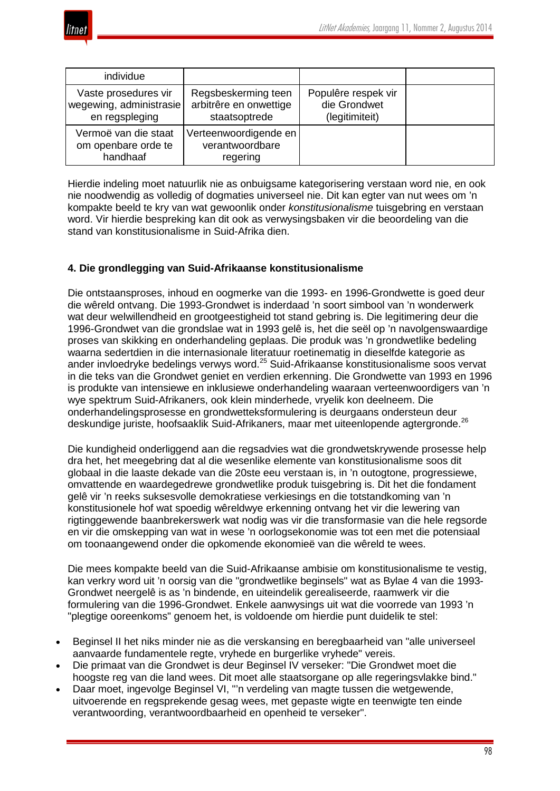

| individue                                                         |                                                                |                                                       |  |
|-------------------------------------------------------------------|----------------------------------------------------------------|-------------------------------------------------------|--|
| Vaste prosedures vir<br>wegewing, administrasie<br>en regspleging | Regsbeskerming teen<br>arbitrêre en onwettige<br>staatsoptrede | Populêre respek vir<br>die Grondwet<br>(legitimiteit) |  |
| Vermoë van die staat<br>om openbare orde te<br>handhaaf           | Verteenwoordigende en<br>verantwoordbare<br>regering           |                                                       |  |

Hierdie indeling moet natuurlik nie as onbuigsame kategorisering verstaan word nie, en ook nie noodwendig as volledig of dogmaties universeel nie. Dit kan egter van nut wees om 'n kompakte beeld te kry van wat gewoonlik onder *konstitusionalisme* tuisgebring en verstaan word. Vir hierdie bespreking kan dit ook as verwysingsbaken vir die beoordeling van die stand van konstitusionalisme in Suid-Afrika dien.

## **4. Die grondlegging van Suid-Afrikaanse konstitusionalisme**

Die ontstaansproses, inhoud en oogmerke van die 1993- en 1996-Grondwette is goed deur die wêreld ontvang. Die 1993-Grondwet is inderdaad 'n soort simbool van 'n wonderwerk wat deur welwillendheid en grootgeestigheid tot stand gebring is. Die legitimering deur die 1996-Grondwet van die grondslae wat in 1993 gelê is, het die seël op 'n navolgenswaardige proses van skikking en onderhandeling geplaas. Die produk was 'n grondwetlike bedeling waarna sedertdien in die internasionale literatuur roetinematig in dieselfde kategorie as ander invloedryke bedelings verwys word.<sup>25</sup> Suid-Afrikaanse konstitusionalisme soos vervat in die teks van die Grondwet geniet en verdien erkenning. Die Grondwette van 1993 en 1996 is produkte van intensiewe en inklusiewe onderhandeling waaraan verteenwoordigers van 'n wye spektrum Suid-Afrikaners, ook klein minderhede, vryelik kon deelneem. Die onderhandelingsprosesse en grondwetteksformulering is deurgaans ondersteun deur deskundige juriste, hoofsaaklik Suid-Afrikaners, maar met uiteenlopende agtergronde.<sup>26</sup>

Die kundigheid onderliggend aan die regsadvies wat die grondwetskrywende prosesse help dra het, het meegebring dat al die wesenlike elemente van konstitusionalisme soos dit globaal in die laaste dekade van die 20ste eeu verstaan is, in 'n outogtone, progressiewe, omvattende en waardegedrewe grondwetlike produk tuisgebring is. Dit het die fondament gelê vir 'n reeks suksesvolle demokratiese verkiesings en die totstandkoming van 'n konstitusionele hof wat spoedig wêreldwye erkenning ontvang het vir die lewering van rigtinggewende baanbrekerswerk wat nodig was vir die transformasie van die hele regsorde en vir die omskepping van wat in wese 'n oorlogsekonomie was tot een met die potensiaal om toonaangewend onder die opkomende ekonomieë van die wêreld te wees.

Die mees kompakte beeld van die Suid-Afrikaanse ambisie om konstitusionalisme te vestig, kan verkry word uit 'n oorsig van die "grondwetlike beginsels" wat as Bylae 4 van die 1993- Grondwet neergelê is as 'n bindende, en uiteindelik gerealiseerde, raamwerk vir die formulering van die 1996-Grondwet. Enkele aanwysings uit wat die voorrede van 1993 'n "plegtige ooreenkoms" genoem het, is voldoende om hierdie punt duidelik te stel:

- Beginsel II het niks minder nie as die verskansing en beregbaarheid van "alle universeel aanvaarde fundamentele regte, vryhede en burgerlike vryhede" vereis.
- Die primaat van die Grondwet is deur Beginsel IV verseker: "Die Grondwet moet die hoogste reg van die land wees. Dit moet alle staatsorgane op alle regeringsvlakke bind."
- Daar moet, ingevolge Beginsel VI, "'n verdeling van magte tussen die wetgewende, uitvoerende en regsprekende gesag wees, met gepaste wigte en teenwigte ten einde verantwoording, verantwoordbaarheid en openheid te verseker".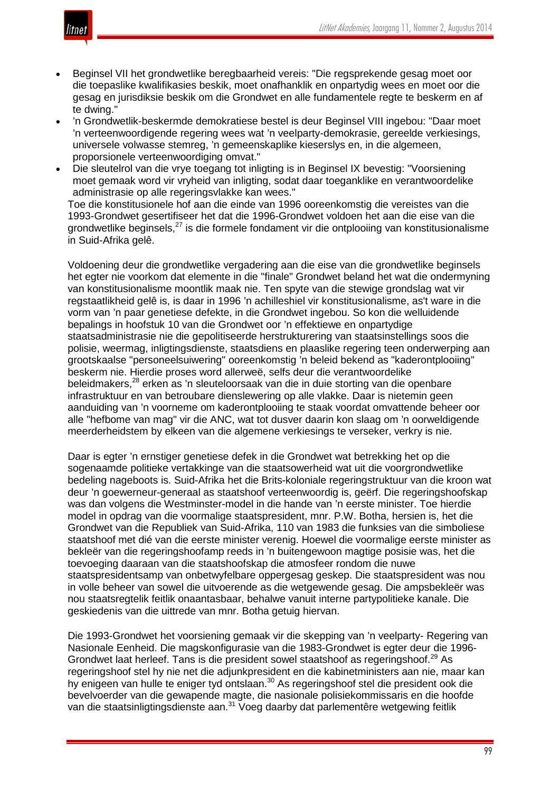

- Beginsel VII het grondwetlike beregbaarheid vereis: "Die regsprekende gesag moet oor die toepaslike kwalifikasies beskik, moet onafhanklik en onpartydig wees en moet oor die gesag en jurisdiksie beskik om die Grondwet en alle fundamentele regte te beskerm en af te dwing."
- 'n Grondwetlik-beskermde demokratiese bestel is deur Beginsel VIII ingebou: "Daar moet 'n verteenwoordigende regering wees wat 'n veelparty-demokrasie, gereelde verkiesings, universele volwasse stemreg, 'n gemeenskaplike kieserslys en, in die algemeen, proporsionele verteenwoordiging omvat."
- Die sleutelrol van die vrye toegang tot inligting is in Beginsel IX bevestig: "Voorsiening moet gemaak word vir vryheid van inligting, sodat daar toeganklike en verantwoordelike administrasie op alle regeringsvlakke kan wees."

Toe die konstitusionele hof aan die einde van 1996 ooreenkomstig die vereistes van die 1993-Grondwet gesertifiseer het dat die 1996-Grondwet voldoen het aan die eise van die grondwetlike beginsels,<sup>27</sup> is die formele fondament vir die ontplooiing van konstitusionalisme in Suid-Afrika gelê.

Voldoening deur die grondwetlike vergadering aan die eise van die grondwetlike beginsels het egter nie voorkom dat elemente in die "finale" Grondwet beland het wat die ondermyning van konstitusionalisme moontlik maak nie. Ten spyte van die stewige grondslag wat vir regstaatlikheid gelê is, is daar in 1996 'n achilleshiel vir konstitusionalisme, as't ware in die vorm van 'n paar genetiese defekte, in die Grondwet ingebou. So kon die welluidende bepalings in hoofstuk 10 van die Grondwet oor 'n effektiewe en onpartydige staatsadministrasie nie die gepolitiseerde herstrukturering van staatsinstellings soos die polisie, weermag, inligtingsdienste, staatsdiens en plaaslike regering teen onderwerping aan grootskaalse "personeelsuiwering" ooreenkomstig 'n beleid bekend as "kaderontplooiing" beskerm nie. Hierdie proses word allerweë, selfs deur die verantwoordelike beleidmakers,<sup>28</sup> erken as 'n sleuteloorsaak van die in duie storting van die openbare infrastruktuur en van betroubare dienslewering op alle vlakke. Daar is nietemin geen aanduiding van 'n voorneme om kaderontplooiing te staak voordat omvattende beheer oor alle "hefbome van mag" vir die ANC, wat tot dusver daarin kon slaag om 'n oorweldigende meerderheidstem by elkeen van die algemene verkiesings te verseker, verkry is nie.

Daar is egter 'n ernstiger genetiese defek in die Grondwet wat betrekking het op die sogenaamde politieke vertakkinge van die staatsowerheid wat uit die voorgrondwetlike bedeling nageboots is. Suid-Afrika het die Brits-koloniale regeringstruktuur van die kroon wat deur 'n goewerneur-generaal as staatshoof verteenwoordig is, geërf. Die regeringshoofskap was dan volgens die Westminster-model in die hande van 'n eerste minister. Toe hierdie model in opdrag van die voormalige staatspresident, mnr. P.W. Botha, hersien is, het die Grondwet van die Republiek van Suid-Afrika, 110 van 1983 die funksies van die simboliese staatshoof met dié van die eerste minister verenig. Hoewel die voormalige eerste minister as bekleër van die regeringshoofamp reeds in 'n buitengewoon magtige posisie was, het die toevoeging daaraan van die staatshoofskap die atmosfeer rondom die nuwe staatspresidentsamp van onbetwyfelbare oppergesag geskep. Die staatspresident was nou in volle beheer van sowel die uitvoerende as die wetgewende gesag. Die ampsbekleër was nou staatsregtelik feitlik onaantasbaar, behalwe vanuit interne partypolitieke kanale. Die geskiedenis van die uittrede van mnr. Botha getuig hiervan.

Die 1993-Grondwet het voorsiening gemaak vir die skepping van 'n veelparty- Regering van Nasionale Eenheid. Die magskonfigurasie van die 1983-Grondwet is egter deur die 1996- Grondwet laat herleef. Tans is die president sowel staatshoof as regeringshoof.<sup>29</sup> As regeringshoof stel hy nie net die adjunkpresident en die kabinetministers aan nie, maar kan hy enigeen van hulle te eniger tyd ontslaan.<sup>30</sup> As regeringshoof stel die president ook die bevelvoerder van die gewapende magte, die nasionale polisiekommissaris en die hoofde van die staatsinligtingsdienste aan.<sup>31</sup> Voeg daarby dat parlementêre wetgewing feitlik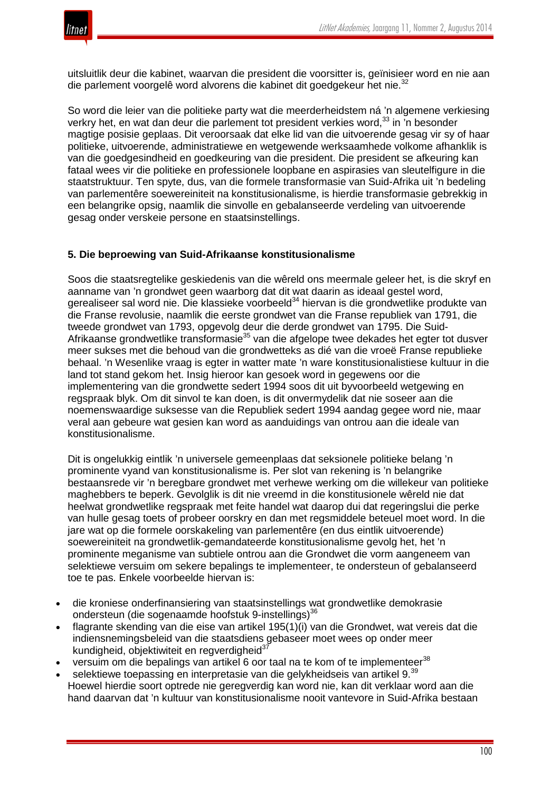

uitsluitlik deur die kabinet, waarvan die president die voorsitter is, geïnisieer word en nie aan die parlement voorgelê word alvorens die kabinet dit goedgekeur het nie.<sup>32</sup>

So word die leier van die politieke party wat die meerderheidstem ná 'n algemene verkiesing verkry het, en wat dan deur die parlement tot president verkies word,<sup>33</sup> in 'n besonder magtige posisie geplaas. Dit veroorsaak dat elke lid van die uitvoerende gesag vir sy of haar politieke, uitvoerende, administratiewe en wetgewende werksaamhede volkome afhanklik is van die goedgesindheid en goedkeuring van die president. Die president se afkeuring kan fataal wees vir die politieke en professionele loopbane en aspirasies van sleutelfigure in die staatstruktuur. Ten spyte, dus, van die formele transformasie van Suid-Afrika uit 'n bedeling van parlementêre soewereiniteit na konstitusionalisme, is hierdie transformasie gebrekkig in een belangrike opsig, naamlik die sinvolle en gebalanseerde verdeling van uitvoerende gesag onder verskeie persone en staatsinstellings.

## **5. Die beproewing van Suid-Afrikaanse konstitusionalisme**

Soos die staatsregtelike geskiedenis van die wêreld ons meermale geleer het, is die skryf en aanname van 'n grondwet geen waarborg dat dit wat daarin as ideaal gestel word, gerealiseer sal word nie. Die klassieke voorbeeld<sup>34</sup> hiervan is die grondwetlike produkte van die Franse revolusie, naamlik die eerste grondwet van die Franse republiek van 1791, die tweede grondwet van 1793, opgevolg deur die derde grondwet van 1795. Die Suid-Afrikaanse grondwetlike transformasie<sup>35</sup> van die afgelope twee dekades het egter tot dusver meer sukses met die behoud van die grondwetteks as dié van die vroeë Franse republieke behaal. 'n Wesenlike vraag is egter in watter mate 'n ware konstitusionalistiese kultuur in die land tot stand gekom het. Insig hieroor kan gesoek word in gegewens oor die implementering van die grondwette sedert 1994 soos dit uit byvoorbeeld wetgewing en regspraak blyk. Om dit sinvol te kan doen, is dit onvermydelik dat nie soseer aan die noemenswaardige suksesse van die Republiek sedert 1994 aandag gegee word nie, maar veral aan gebeure wat gesien kan word as aanduidings van ontrou aan die ideale van konstitusionalisme.

Dit is ongelukkig eintlik 'n universele gemeenplaas dat seksionele politieke belang 'n prominente vyand van konstitusionalisme is. Per slot van rekening is 'n belangrike bestaansrede vir 'n beregbare grondwet met verhewe werking om die willekeur van politieke maghebbers te beperk. Gevolglik is dit nie vreemd in die konstitusionele wêreld nie dat heelwat grondwetlike regspraak met feite handel wat daarop dui dat regeringslui die perke van hulle gesag toets of probeer oorskry en dan met regsmiddele beteuel moet word. In die jare wat op die formele oorskakeling van parlementêre (en dus eintlik uitvoerende) soewereiniteit na grondwetlik-gemandateerde konstitusionalisme gevolg het, het 'n prominente meganisme van subtiele ontrou aan die Grondwet die vorm aangeneem van selektiewe versuim om sekere bepalings te implementeer, te ondersteun of gebalanseerd toe te pas. Enkele voorbeelde hiervan is:

- die kroniese onderfinansiering van staatsinstellings wat grondwetlike demokrasie ondersteun (die sogenaamde hoofstuk 9-instellings)<sup>36</sup>
- flagrante skending van die eise van artikel 195(1)(i) van die Grondwet, wat vereis dat die indiensnemingsbeleid van die staatsdiens gebaseer moet wees op onder meer kundigheid, objektiwiteit en regverdigheid<sup>3</sup>
- versuim om die bepalings van artikel 6 oor taal na te kom of te implementeer<sup>38</sup>
- selektiewe toepassing en interpretasie van die gelykheidseis van artikel 9.<sup>39</sup> Hoewel hierdie soort optrede nie geregverdig kan word nie, kan dit verklaar word aan die hand daarvan dat 'n kultuur van konstitusionalisme nooit vantevore in Suid-Afrika bestaan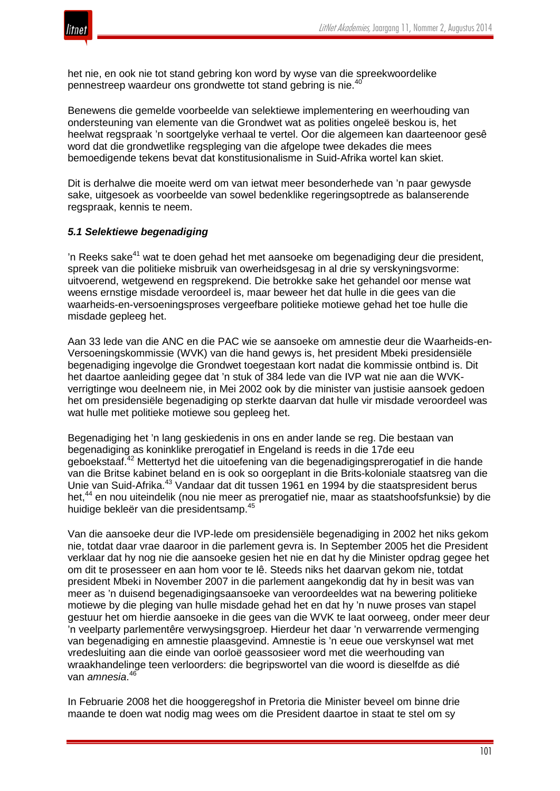

het nie, en ook nie tot stand gebring kon word by wyse van die spreekwoordelike pennestreep waardeur ons grondwette tot stand gebring is nie.<sup>40</sup>

Benewens die gemelde voorbeelde van selektiewe implementering en weerhouding van ondersteuning van elemente van die Grondwet wat as polities ongeleë beskou is, het heelwat regspraak 'n soortgelyke verhaal te vertel. Oor die algemeen kan daarteenoor gesê word dat die grondwetlike regspleging van die afgelope twee dekades die mees bemoedigende tekens bevat dat konstitusionalisme in Suid-Afrika wortel kan skiet.

Dit is derhalwe die moeite werd om van ietwat meer besonderhede van 'n paar gewysde sake, uitgesoek as voorbeelde van sowel bedenklike regeringsoptrede as balanserende regspraak, kennis te neem.

#### *5.1 Selektiewe begenadiging*

'n Reeks sake<sup>41</sup> wat te doen gehad het met aansoeke om begenadiging deur die president, spreek van die politieke misbruik van owerheidsgesag in al drie sy verskyningsvorme: uitvoerend, wetgewend en regsprekend. Die betrokke sake het gehandel oor mense wat weens ernstige misdade veroordeel is, maar beweer het dat hulle in die gees van die waarheids-en-versoeningsproses vergeefbare politieke motiewe gehad het toe hulle die misdade gepleeg het.

Aan 33 lede van die ANC en die PAC wie se aansoeke om amnestie deur die Waarheids-en-Versoeningskommissie (WVK) van die hand gewys is, het president Mbeki presidensiële begenadiging ingevolge die Grondwet toegestaan kort nadat die kommissie ontbind is. Dit het daartoe aanleiding gegee dat 'n stuk of 384 lede van die IVP wat nie aan die WVKverrigtinge wou deelneem nie, in Mei 2002 ook by die minister van justisie aansoek gedoen het om presidensiële begenadiging op sterkte daarvan dat hulle vir misdade veroordeel was wat hulle met politieke motiewe sou gepleeg het.

Begenadiging het 'n lang geskiedenis in ons en ander lande se reg. Die bestaan van begenadiging as koninklike prerogatief in Engeland is reeds in die 17de eeu geboekstaaf.<sup>42</sup> Mettertyd het die uitoefening van die begenadigingsprerogatief in die hande van die Britse kabinet beland en is ook so oorgeplant in die Brits-koloniale staatsreg van die Unie van Suid-Afrika.<sup>43</sup> Vandaar dat dit tussen 1961 en 1994 by die staatspresident berus het,<sup>44</sup> en nou uiteindelik (nou nie meer as prerogatief nie, maar as staatshoofsfunksie) by die huidige bekleër van die presidentsamp.<sup>45</sup>

Van die aansoeke deur die IVP-lede om presidensiële begenadiging in 2002 het niks gekom nie, totdat daar vrae daaroor in die parlement gevra is. In September 2005 het die President verklaar dat hy nog nie die aansoeke gesien het nie en dat hy die Minister opdrag gegee het om dit te prosesseer en aan hom voor te lê. Steeds niks het daarvan gekom nie, totdat president Mbeki in November 2007 in die parlement aangekondig dat hy in besit was van meer as 'n duisend begenadigingsaansoeke van veroordeeldes wat na bewering politieke motiewe by die pleging van hulle misdade gehad het en dat hy 'n nuwe proses van stapel gestuur het om hierdie aansoeke in die gees van die WVK te laat oorweeg, onder meer deur 'n veelparty parlementêre verwysingsgroep. Hierdeur het daar 'n verwarrende vermenging van begenadiging en amnestie plaasgevind. Amnestie is 'n eeue oue verskynsel wat met vredesluiting aan die einde van oorloë geassosieer word met die weerhouding van wraakhandelinge teen verloorders: die begripswortel van die woord is dieselfde as dié van *amnesia*. 46

In Februarie 2008 het die hooggeregshof in Pretoria die Minister beveel om binne drie maande te doen wat nodig mag wees om die President daartoe in staat te stel om sy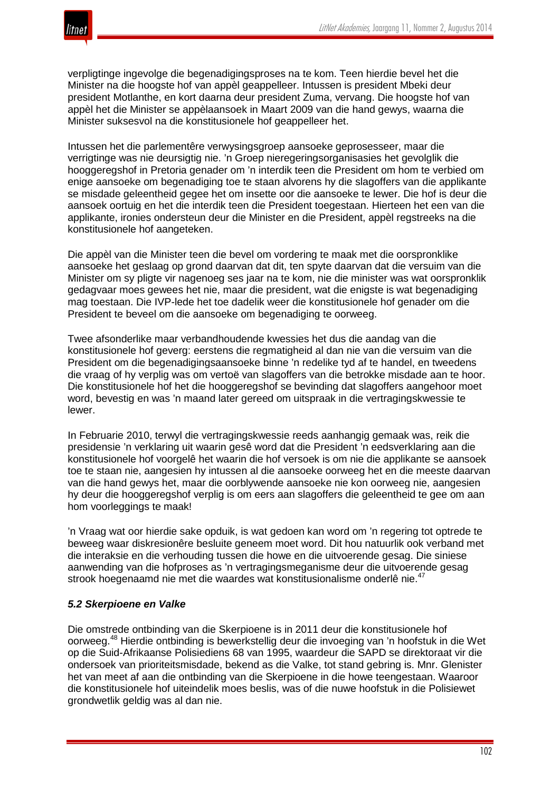

verpligtinge ingevolge die begenadigingsproses na te kom. Teen hierdie bevel het die Minister na die hoogste hof van appèl geappelleer. Intussen is president Mbeki deur president Motlanthe, en kort daarna deur president Zuma, vervang. Die hoogste hof van appèl het die Minister se appèlaansoek in Maart 2009 van die hand gewys, waarna die Minister suksesvol na die konstitusionele hof geappelleer het.

Intussen het die parlementêre verwysingsgroep aansoeke geprosesseer, maar die verrigtinge was nie deursigtig nie. 'n Groep nieregeringsorganisasies het gevolglik die hooggeregshof in Pretoria genader om 'n interdik teen die President om hom te verbied om enige aansoeke om begenadiging toe te staan alvorens hy die slagoffers van die applikante se misdade geleentheid gegee het om insette oor die aansoeke te lewer. Die hof is deur die aansoek oortuig en het die interdik teen die President toegestaan. Hierteen het een van die applikante, ironies ondersteun deur die Minister en die President, appèl regstreeks na die konstitusionele hof aangeteken.

Die appèl van die Minister teen die bevel om vordering te maak met die oorspronklike aansoeke het geslaag op grond daarvan dat dit, ten spyte daarvan dat die versuim van die Minister om sy pligte vir nagenoeg ses jaar na te kom, nie die minister was wat oorspronklik gedagvaar moes gewees het nie, maar die president, wat die enigste is wat begenadiging mag toestaan. Die IVP-lede het toe dadelik weer die konstitusionele hof genader om die President te beveel om die aansoeke om begenadiging te oorweeg.

Twee afsonderlike maar verbandhoudende kwessies het dus die aandag van die konstitusionele hof geverg: eerstens die regmatigheid al dan nie van die versuim van die President om die begenadigingsaansoeke binne 'n redelike tyd af te handel, en tweedens die vraag of hy verplig was om vertoë van slagoffers van die betrokke misdade aan te hoor. Die konstitusionele hof het die hooggeregshof se bevinding dat slagoffers aangehoor moet word, bevestig en was 'n maand later gereed om uitspraak in die vertragingskwessie te lewer.

In Februarie 2010, terwyl die vertragingskwessie reeds aanhangig gemaak was, reik die presidensie 'n verklaring uit waarin gesê word dat die President 'n eedsverklaring aan die konstitusionele hof voorgelê het waarin die hof versoek is om nie die applikante se aansoek toe te staan nie, aangesien hy intussen al die aansoeke oorweeg het en die meeste daarvan van die hand gewys het, maar die oorblywende aansoeke nie kon oorweeg nie, aangesien hy deur die hooggeregshof verplig is om eers aan slagoffers die geleentheid te gee om aan hom voorleggings te maak!

'n Vraag wat oor hierdie sake opduik, is wat gedoen kan word om 'n regering tot optrede te beweeg waar diskresionêre besluite geneem moet word. Dit hou natuurlik ook verband met die interaksie en die verhouding tussen die howe en die uitvoerende gesag. Die siniese aanwending van die hofproses as 'n vertragingsmeganisme deur die uitvoerende gesag strook hoegenaamd nie met die waardes wat konstitusionalisme onderlê nie.<sup>47</sup>

## *5.2 Skerpioene en Valke*

Die omstrede ontbinding van die Skerpioene is in 2011 deur die konstitusionele hof oorweeg.<sup>48</sup> Hierdie ontbinding is bewerkstellig deur die invoeging van 'n hoofstuk in die Wet op die Suid-Afrikaanse Polisiediens 68 van 1995, waardeur die SAPD se direktoraat vir die ondersoek van prioriteitsmisdade, bekend as die Valke, tot stand gebring is. Mnr. Glenister het van meet af aan die ontbinding van die Skerpioene in die howe teengestaan. Waaroor die konstitusionele hof uiteindelik moes beslis, was of die nuwe hoofstuk in die Polisiewet grondwetlik geldig was al dan nie.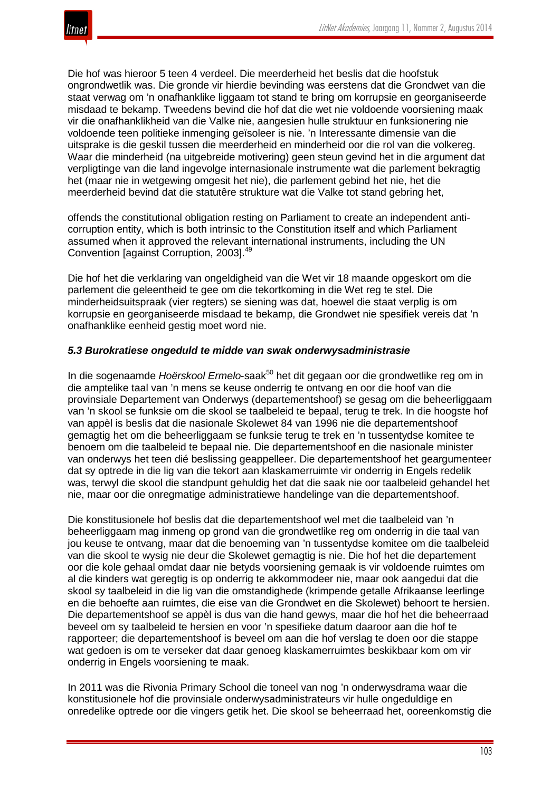

Die hof was hieroor 5 teen 4 verdeel. Die meerderheid het beslis dat die hoofstuk ongrondwetlik was. Die gronde vir hierdie bevinding was eerstens dat die Grondwet van die staat verwag om 'n onafhanklike liggaam tot stand te bring om korrupsie en georganiseerde misdaad te bekamp. Tweedens bevind die hof dat die wet nie voldoende voorsiening maak vir die onafhanklikheid van die Valke nie, aangesien hulle struktuur en funksionering nie voldoende teen politieke inmenging geïsoleer is nie. 'n Interessante dimensie van die uitsprake is die geskil tussen die meerderheid en minderheid oor die rol van die volkereg. Waar die minderheid (na uitgebreide motivering) geen steun gevind het in die argument dat verpligtinge van die land ingevolge internasionale instrumente wat die parlement bekragtig het (maar nie in wetgewing omgesit het nie), die parlement gebind het nie, het die meerderheid bevind dat die statutêre strukture wat die Valke tot stand gebring het,

offends the constitutional obligation resting on Parliament to create an independent anticorruption entity, which is both intrinsic to the Constitution itself and which Parliament assumed when it approved the relevant international instruments, including the UN Convention [against Corruption, 2003].<sup>49</sup>

Die hof het die verklaring van ongeldigheid van die Wet vir 18 maande opgeskort om die parlement die geleentheid te gee om die tekortkoming in die Wet reg te stel. Die minderheidsuitspraak (vier regters) se siening was dat, hoewel die staat verplig is om korrupsie en georganiseerde misdaad te bekamp, die Grondwet nie spesifiek vereis dat 'n onafhanklike eenheid gestig moet word nie.

#### *5.3 Burokratiese ongeduld te midde van swak onderwysadministrasie*

In die sogenaamde *Hoërskool Ermelo*-saak<sup>50</sup> het dit gegaan oor die grondwetlike reg om in die amptelike taal van 'n mens se keuse onderrig te ontvang en oor die hoof van die provinsiale Departement van Onderwys (departementshoof) se gesag om die beheerliggaam van 'n skool se funksie om die skool se taalbeleid te bepaal, terug te trek. In die hoogste hof van appèl is beslis dat die nasionale Skolewet 84 van 1996 nie die departementshoof gemagtig het om die beheerliggaam se funksie terug te trek en 'n tussentydse komitee te benoem om die taalbeleid te bepaal nie. Die departementshoof en die nasionale minister van onderwys het teen dié beslissing geappelleer. Die departementshoof het geargumenteer dat sy optrede in die lig van die tekort aan klaskamerruimte vir onderrig in Engels redelik was, terwyl die skool die standpunt gehuldig het dat die saak nie oor taalbeleid gehandel het nie, maar oor die onregmatige administratiewe handelinge van die departementshoof.

Die konstitusionele hof beslis dat die departementshoof wel met die taalbeleid van 'n beheerliggaam mag inmeng op grond van die grondwetlike reg om onderrig in die taal van jou keuse te ontvang, maar dat die benoeming van 'n tussentydse komitee om die taalbeleid van die skool te wysig nie deur die Skolewet gemagtig is nie. Die hof het die departement oor die kole gehaal omdat daar nie betyds voorsiening gemaak is vir voldoende ruimtes om al die kinders wat geregtig is op onderrig te akkommodeer nie, maar ook aangedui dat die skool sy taalbeleid in die lig van die omstandighede (krimpende getalle Afrikaanse leerlinge en die behoefte aan ruimtes, die eise van die Grondwet en die Skolewet) behoort te hersien. Die departementshoof se appèl is dus van die hand gewys, maar die hof het die beheerraad beveel om sy taalbeleid te hersien en voor 'n spesifieke datum daaroor aan die hof te rapporteer; die departementshoof is beveel om aan die hof verslag te doen oor die stappe wat gedoen is om te verseker dat daar genoeg klaskamerruimtes beskikbaar kom om vir onderrig in Engels voorsiening te maak.

In 2011 was die Rivonia Primary School die toneel van nog 'n onderwysdrama waar die konstitusionele hof die provinsiale onderwysadministrateurs vir hulle ongeduldige en onredelike optrede oor die vingers getik het. Die skool se beheerraad het, ooreenkomstig die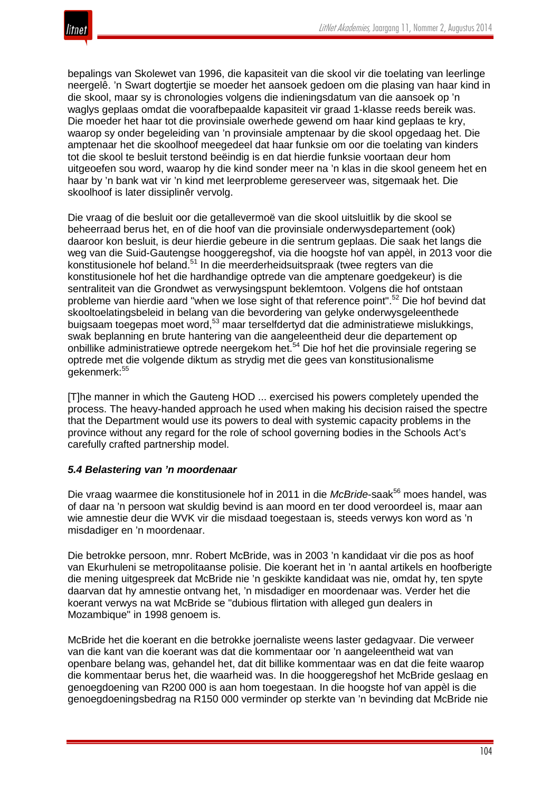

bepalings van Skolewet van 1996, die kapasiteit van die skool vir die toelating van leerlinge neergelê. 'n Swart dogtertjie se moeder het aansoek gedoen om die plasing van haar kind in die skool, maar sy is chronologies volgens die indieningsdatum van die aansoek op 'n waglys geplaas omdat die voorafbepaalde kapasiteit vir graad 1-klasse reeds bereik was. Die moeder het haar tot die provinsiale owerhede gewend om haar kind geplaas te kry, waarop sy onder begeleiding van 'n provinsiale amptenaar by die skool opgedaag het. Die amptenaar het die skoolhoof meegedeel dat haar funksie om oor die toelating van kinders tot die skool te besluit terstond beëindig is en dat hierdie funksie voortaan deur hom uitgeoefen sou word, waarop hy die kind sonder meer na 'n klas in die skool geneem het en haar by 'n bank wat vir 'n kind met leerprobleme gereserveer was, sitgemaak het. Die skoolhoof is later dissiplinêr vervolg.

Die vraag of die besluit oor die getallevermoë van die skool uitsluitlik by die skool se beheerraad berus het, en of die hoof van die provinsiale onderwysdepartement (ook) daaroor kon besluit, is deur hierdie gebeure in die sentrum geplaas. Die saak het langs die weg van die Suid-Gautengse hooggeregshof, via die hoogste hof van appèl, in 2013 voor die konstitusionele hof beland.<sup>51</sup> In die meerderheidsuitspraak (twee regters van die konstitusionele hof het die hardhandige optrede van die amptenare goedgekeur) is die sentraliteit van die Grondwet as verwysingspunt beklemtoon. Volgens die hof ontstaan probleme van hierdie aard "when we lose sight of that reference point".<sup>52</sup> Die hof bevind dat skooltoelatingsbeleid in belang van die bevordering van gelyke onderwysgeleenthede buigsaam toegepas moet word,<sup>53</sup> maar terselfdertyd dat die administratiewe mislukkings, swak beplanning en brute hantering van die aangeleentheid deur die departement op onbillike administratiewe optrede neergekom het.<sup>54</sup> Die hof het die provinsiale regering se optrede met die volgende diktum as strydig met die gees van konstitusionalisme gekenmerk:<sup>55</sup>

[T]he manner in which the Gauteng HOD ... exercised his powers completely upended the process. The heavy-handed approach he used when making his decision raised the spectre that the Department would use its powers to deal with systemic capacity problems in the province without any regard for the role of school governing bodies in the Schools Act's carefully crafted partnership model.

## *5.4 Belastering van 'n moordenaar*

Die vraag waarmee die konstitusionele hof in 2011 in die *McBride*-saak<sup>56</sup> moes handel, was of daar na 'n persoon wat skuldig bevind is aan moord en ter dood veroordeel is, maar aan wie amnestie deur die WVK vir die misdaad toegestaan is, steeds verwys kon word as 'n misdadiger en 'n moordenaar.

Die betrokke persoon, mnr. Robert McBride, was in 2003 'n kandidaat vir die pos as hoof van Ekurhuleni se metropolitaanse polisie. Die koerant het in 'n aantal artikels en hoofberigte die mening uitgespreek dat McBride nie 'n geskikte kandidaat was nie, omdat hy, ten spyte daarvan dat hy amnestie ontvang het, 'n misdadiger en moordenaar was. Verder het die koerant verwys na wat McBride se "dubious flirtation with alleged gun dealers in Mozambique" in 1998 genoem is.

McBride het die koerant en die betrokke joernaliste weens laster gedagvaar. Die verweer van die kant van die koerant was dat die kommentaar oor 'n aangeleentheid wat van openbare belang was, gehandel het, dat dit billike kommentaar was en dat die feite waarop die kommentaar berus het, die waarheid was. In die hooggeregshof het McBride geslaag en genoegdoening van R200 000 is aan hom toegestaan. In die hoogste hof van appèl is die genoegdoeningsbedrag na R150 000 verminder op sterkte van 'n bevinding dat McBride nie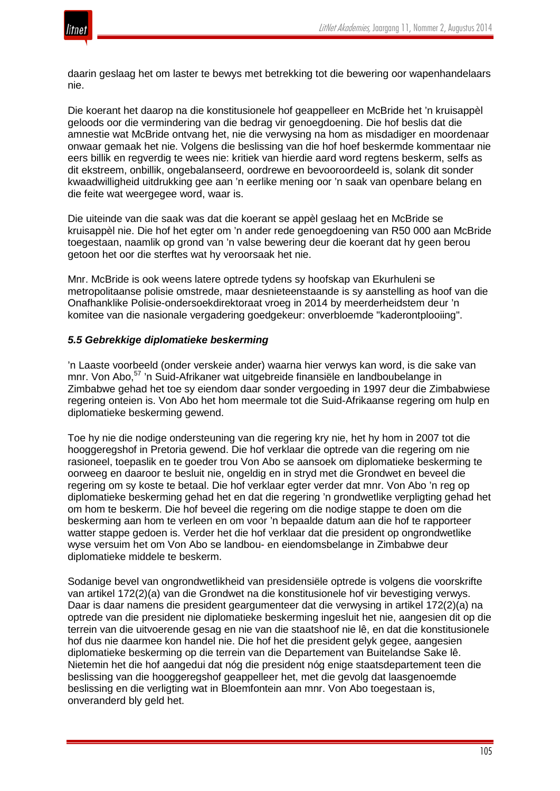

daarin geslaag het om laster te bewys met betrekking tot die bewering oor wapenhandelaars nie.

Die koerant het daarop na die konstitusionele hof geappelleer en McBride het 'n kruisappèl geloods oor die vermindering van die bedrag vir genoegdoening. Die hof beslis dat die amnestie wat McBride ontvang het, nie die verwysing na hom as misdadiger en moordenaar onwaar gemaak het nie. Volgens die beslissing van die hof hoef beskermde kommentaar nie eers billik en regverdig te wees nie: kritiek van hierdie aard word regtens beskerm, selfs as dit ekstreem, onbillik, ongebalanseerd, oordrewe en bevooroordeeld is, solank dit sonder kwaadwilligheid uitdrukking gee aan 'n eerlike mening oor 'n saak van openbare belang en die feite wat weergegee word, waar is.

Die uiteinde van die saak was dat die koerant se appèl geslaag het en McBride se kruisappèl nie. Die hof het egter om 'n ander rede genoegdoening van R50 000 aan McBride toegestaan, naamlik op grond van 'n valse bewering deur die koerant dat hy geen berou getoon het oor die sterftes wat hy veroorsaak het nie.

Mnr. McBride is ook weens latere optrede tydens sy hoofskap van Ekurhuleni se metropolitaanse polisie omstrede, maar desnieteenstaande is sy aanstelling as hoof van die Onafhanklike Polisie-ondersoekdirektoraat vroeg in 2014 by meerderheidstem deur 'n komitee van die nasionale vergadering goedgekeur: onverbloemde "kaderontplooiing".

## *5.5 Gebrekkige diplomatieke beskerming*

'n Laaste voorbeeld (onder verskeie ander) waarna hier verwys kan word, is die sake van mnr. Von Abo, <sup>57</sup> 'n Suid-Afrikaner wat uitgebreide finansiële en landboubelange in Zimbabwe gehad het toe sy eiendom daar sonder vergoeding in 1997 deur die Zimbabwiese regering onteien is. Von Abo het hom meermale tot die Suid-Afrikaanse regering om hulp en diplomatieke beskerming gewend.

Toe hy nie die nodige ondersteuning van die regering kry nie, het hy hom in 2007 tot die hooggeregshof in Pretoria gewend. Die hof verklaar die optrede van die regering om nie rasioneel, toepaslik en te goeder trou Von Abo se aansoek om diplomatieke beskerming te oorweeg en daaroor te besluit nie, ongeldig en in stryd met die Grondwet en beveel die regering om sy koste te betaal. Die hof verklaar egter verder dat mnr. Von Abo 'n reg op diplomatieke beskerming gehad het en dat die regering 'n grondwetlike verpligting gehad het om hom te beskerm. Die hof beveel die regering om die nodige stappe te doen om die beskerming aan hom te verleen en om voor 'n bepaalde datum aan die hof te rapporteer watter stappe gedoen is. Verder het die hof verklaar dat die president op ongrondwetlike wyse versuim het om Von Abo se landbou- en eiendomsbelange in Zimbabwe deur diplomatieke middele te beskerm.

Sodanige bevel van ongrondwetlikheid van presidensiële optrede is volgens die voorskrifte van artikel 172(2)(a) van die Grondwet na die konstitusionele hof vir bevestiging verwys. Daar is daar namens die president geargumenteer dat die verwysing in artikel 172(2)(a) na optrede van die president nie diplomatieke beskerming ingesluit het nie, aangesien dit op die terrein van die uitvoerende gesag en nie van die staatshoof nie lê, en dat die konstitusionele hof dus nie daarmee kon handel nie. Die hof het die president gelyk gegee, aangesien diplomatieke beskerming op die terrein van die Departement van Buitelandse Sake lê. Nietemin het die hof aangedui dat nóg die president nóg enige staatsdepartement teen die beslissing van die hooggeregshof geappelleer het, met die gevolg dat laasgenoemde beslissing en die verligting wat in Bloemfontein aan mnr. Von Abo toegestaan is, onveranderd bly geld het.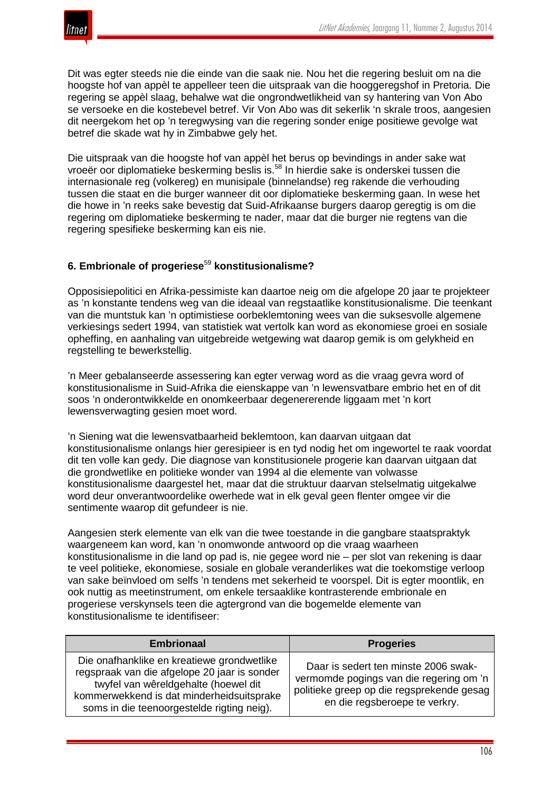

Dit was egter steeds nie die einde van die saak nie. Nou het die regering besluit om na die hoogste hof van appèl te appelleer teen die uitspraak van die hooggeregshof in Pretoria. Die regering se appèl slaag, behalwe wat die ongrondwetlikheid van sy hantering van Von Abo se versoeke en die kostebevel betref. Vir Von Abo was dit sekerlik 'n skrale troos, aangesien dit neergekom het op 'n teregwysing van die regering sonder enige positiewe gevolge wat betref die skade wat hy in Zimbabwe gely het.

Die uitspraak van die hoogste hof van appèl het berus op bevindings in ander sake wat vroeër oor diplomatieke beskerming beslis is.<sup>58</sup> In hierdie sake is onderskei tussen die internasionale reg (volkereg) en munisipale (binnelandse) reg rakende die verhouding tussen die staat en die burger wanneer dit oor diplomatieke beskerming gaan. In wese het die howe in 'n reeks sake bevestig dat Suid-Afrikaanse burgers daarop geregtig is om die regering om diplomatieke beskerming te nader, maar dat die burger nie regtens van die regering spesifieke beskerming kan eis nie.

# **6. Embrionale of progeriese**<sup>59</sup> **konstitusionalisme?**

Opposisiepolitici en Afrika-pessimiste kan daartoe neig om die afgelope 20 jaar te projekteer as 'n konstante tendens weg van die ideaal van regstaatlike konstitusionalisme. Die teenkant van die muntstuk kan 'n optimistiese oorbeklemtoning wees van die suksesvolle algemene verkiesings sedert 1994, van statistiek wat vertolk kan word as ekonomiese groei en sosiale opheffing, en aanhaling van uitgebreide wetgewing wat daarop gemik is om gelykheid en regstelling te bewerkstellig.

'n Meer gebalanseerde assessering kan egter verwag word as die vraag gevra word of konstitusionalisme in Suid-Afrika die eienskappe van 'n lewensvatbare embrio het en of dit soos 'n onderontwikkelde en onomkeerbaar degenererende liggaam met 'n kort lewensverwagting gesien moet word.

'n Siening wat die lewensvatbaarheid beklemtoon, kan daarvan uitgaan dat konstitusionalisme onlangs hier geresipieer is en tyd nodig het om ingewortel te raak voordat dit ten volle kan gedy. Die diagnose van konstitusionele progerie kan daarvan uitgaan dat die grondwetlike en politieke wonder van 1994 al die elemente van volwasse konstitusionalisme daargestel het, maar dat die struktuur daarvan stelselmatig uitgekalwe word deur onverantwoordelike owerhede wat in elk geval geen flenter omgee vir die sentimente waarop dit gefundeer is nie.

Aangesien sterk elemente van elk van die twee toestande in die gangbare staatspraktyk waargeneem kan word, kan 'n onomwonde antwoord op die vraag waarheen konstitusionalisme in die land op pad is, nie gegee word nie – per slot van rekening is daar te veel politieke, ekonomiese, sosiale en globale veranderlikes wat die toekomstige verloop van sake beïnvloed om selfs 'n tendens met sekerheid te voorspel. Dit is egter moontlik, en ook nuttig as meetinstrument, om enkele tersaaklike kontrasterende embrionale en progeriese verskynsels teen die agtergrond van die bogemelde elemente van konstitusionalisme te identifiseer:

| <b>Embrionaal</b>                                                                                                                                                                                                             | <b>Progeries</b>                                                                                                                                              |
|-------------------------------------------------------------------------------------------------------------------------------------------------------------------------------------------------------------------------------|---------------------------------------------------------------------------------------------------------------------------------------------------------------|
| Die onafhanklike en kreatiewe grondwetlike<br>regspraak van die afgelope 20 jaar is sonder<br>twyfel van wêreldgehalte (hoewel dit<br>kommerwekkend is dat minderheidsuitsprake<br>soms in die teenoorgestelde rigting neig). | Daar is sedert ten minste 2006 swak-<br>vermomde pogings van die regering om 'n<br>politieke greep op die regsprekende gesag<br>en die regsberoepe te verkry. |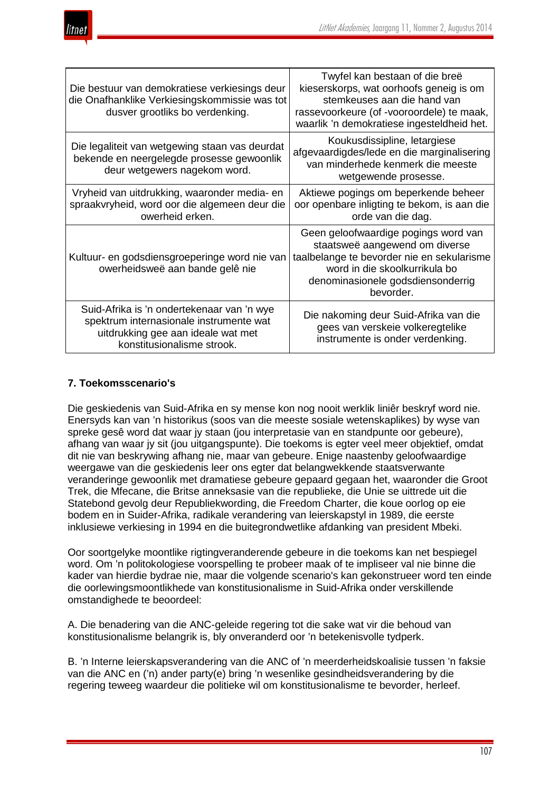



| Die bestuur van demokratiese verkiesings deur<br>die Onafhanklike Verkiesingskommissie was tot<br>dusver grootliks bo verdenking.                         | Twyfel kan bestaan of die breë<br>kieserskorps, wat oorhoofs geneig is om<br>stemkeuses aan die hand van<br>rassevoorkeure (of -vooroordele) te maak,<br>waarlik 'n demokratiese ingesteldheid het.     |
|-----------------------------------------------------------------------------------------------------------------------------------------------------------|---------------------------------------------------------------------------------------------------------------------------------------------------------------------------------------------------------|
| Die legaliteit van wetgewing staan vas deurdat<br>bekende en neergelegde prosesse gewoonlik<br>deur wetgewers nagekom word.                               | Koukusdissipline, letargiese<br>afgevaardigdes/lede en die marginalisering<br>van minderhede kenmerk die meeste<br>wetgewende prosesse.                                                                 |
| Vryheid van uitdrukking, waaronder media- en<br>spraakvryheid, word oor die algemeen deur die<br>owerheid erken.                                          | Aktiewe pogings om beperkende beheer<br>oor openbare inligting te bekom, is aan die<br>orde van die dag.                                                                                                |
| Kultuur- en godsdiensgroeperinge word nie van<br>owerheidsweë aan bande gelê nie                                                                          | Geen geloofwaardige pogings word van<br>staatsweë aangewend om diverse<br>taalbelange te bevorder nie en sekularisme<br>word in die skoolkurrikula bo<br>denominasionele godsdiensonderrig<br>bevorder. |
| Suid-Afrika is 'n ondertekenaar van 'n wye<br>spektrum internasionale instrumente wat<br>uitdrukking gee aan ideale wat met<br>konstitusionalisme strook. | Die nakoming deur Suid-Afrika van die<br>gees van verskeie volkeregtelike<br>instrumente is onder verdenking.                                                                                           |

## **7. Toekomsscenario's**

Die geskiedenis van Suid-Afrika en sy mense kon nog nooit werklik liniêr beskryf word nie. Enersyds kan van 'n historikus (soos van die meeste sosiale wetenskaplikes) by wyse van spreke gesê word dat waar jy staan (jou interpretasie van en standpunte oor gebeure), afhang van waar jy sit (jou uitgangspunte). Die toekoms is egter veel meer objektief, omdat dit nie van beskrywing afhang nie, maar van gebeure. Enige naastenby geloofwaardige weergawe van die geskiedenis leer ons egter dat belangwekkende staatsverwante veranderinge gewoonlik met dramatiese gebeure gepaard gegaan het, waaronder die Groot Trek, die Mfecane, die Britse anneksasie van die republieke, die Unie se uittrede uit die Statebond gevolg deur Republiekwording, die Freedom Charter, die koue oorlog op eie bodem en in Suider-Afrika, radikale verandering van leierskapstyl in 1989, die eerste inklusiewe verkiesing in 1994 en die buitegrondwetlike afdanking van president Mbeki.

Oor soortgelyke moontlike rigtingveranderende gebeure in die toekoms kan net bespiegel word. Om 'n politokologiese voorspelling te probeer maak of te impliseer val nie binne die kader van hierdie bydrae nie, maar die volgende scenario's kan gekonstrueer word ten einde die oorlewingsmoontlikhede van konstitusionalisme in Suid-Afrika onder verskillende omstandighede te beoordeel:

A. Die benadering van die ANC-geleide regering tot die sake wat vir die behoud van konstitusionalisme belangrik is, bly onveranderd oor 'n betekenisvolle tydperk.

B. 'n Interne leierskapsverandering van die ANC of 'n meerderheidskoalisie tussen 'n faksie van die ANC en ('n) ander party(e) bring 'n wesenlike gesindheidsverandering by die regering teweeg waardeur die politieke wil om konstitusionalisme te bevorder, herleef.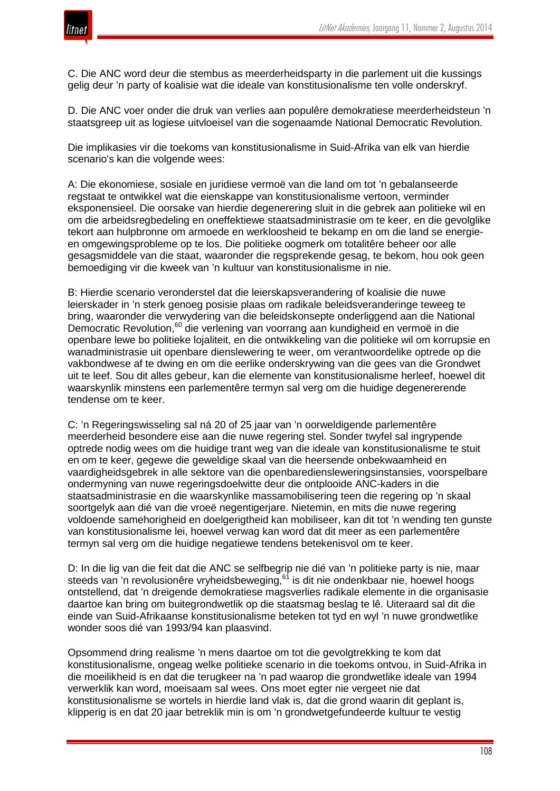

C. Die ANC word deur die stembus as meerderheidsparty in die parlement uit die kussings gelig deur 'n party of koalisie wat die ideale van konstitusionalisme ten volle onderskryf.

D. Die ANC voer onder die druk van verlies aan populêre demokratiese meerderheidsteun 'n staatsgreep uit as logiese uitvloeisel van die sogenaamde National Democratic Revolution.

Die implikasies vir die toekoms van konstitusionalisme in Suid-Afrika van elk van hierdie scenario's kan die volgende wees:

A: Die ekonomiese, sosiale en juridiese vermoë van die land om tot 'n gebalanseerde regstaat te ontwikkel wat die eienskappe van konstitusionalisme vertoon, verminder eksponensieel. Die oorsake van hierdie degenerering sluit in die gebrek aan politieke wil en om die arbeidsregbedeling en oneffektiewe staatsadministrasie om te keer, en die gevolglike tekort aan hulpbronne om armoede en werkloosheid te bekamp en om die land se energieen omgewingsprobleme op te los. Die politieke oogmerk om totalitêre beheer oor alle gesagsmiddele van die staat, waaronder die regsprekende gesag, te bekom, hou ook geen bemoediging vir die kweek van 'n kultuur van konstitusionalisme in nie.

B: Hierdie scenario veronderstel dat die leierskapsverandering of koalisie die nuwe leierskader in 'n sterk genoeg posisie plaas om radikale beleidsveranderinge teweeg te bring, waaronder die verwydering van die beleidskonsepte onderliggend aan die National Democratic Revolution,<sup>60</sup> die verlening van voorrang aan kundigheid en vermoë in die openbare lewe bo politieke lojaliteit, en die ontwikkeling van die politieke wil om korrupsie en wanadministrasie uit openbare dienslewering te weer, om verantwoordelike optrede op die vakbondwese af te dwing en om die eerlike onderskrywing van die gees van die Grondwet uit te leef. Sou dit alles gebeur, kan die elemente van konstitusionalisme herleef, hoewel dit waarskynlik minstens een parlementêre termyn sal verg om die huidige degenererende tendense om te keer.

C: 'n Regeringswisseling sal ná 20 of 25 jaar van 'n oorweldigende parlementêre meerderheid besondere eise aan die nuwe regering stel. Sonder twyfel sal ingrypende optrede nodig wees om die huidige trant weg van die ideale van konstitusionalisme te stuit en om te keer, gegewe die geweldige skaal van die heersende onbekwaamheid en vaardigheidsgebrek in alle sektore van die openbarediensleweringsinstansies, voorspelbare ondermyning van nuwe regeringsdoelwitte deur die ontplooide ANC-kaders in die staatsadministrasie en die waarskynlike massamobilisering teen die regering op 'n skaal soortgelyk aan dié van die vroeë negentigerjare. Nietemin, en mits die nuwe regering voldoende samehorigheid en doelgerigtheid kan mobiliseer, kan dit tot 'n wending ten gunste van konstitusionalisme lei, hoewel verwag kan word dat dit meer as een parlementêre termyn sal verg om die huidige negatiewe tendens betekenisvol om te keer.

D: In die lig van die feit dat die ANC se selfbegrip nie dié van 'n politieke party is nie, maar steeds van 'n revolusionêre vryheidsbeweging,<sup>61</sup> is dit nie ondenkbaar nie, hoewel hoogs ontstellend, dat 'n dreigende demokratiese magsverlies radikale elemente in die organisasie daartoe kan bring om buitegrondwetlik op die staatsmag beslag te lê. Uiteraard sal dit die einde van Suid-Afrikaanse konstitusionalisme beteken tot tyd en wyl 'n nuwe grondwetlike wonder soos dié van 1993/94 kan plaasvind.

Opsommend dring realisme 'n mens daartoe om tot die gevolgtrekking te kom dat konstitusionalisme, ongeag welke politieke scenario in die toekoms ontvou, in Suid-Afrika in die moeilikheid is en dat die terugkeer na 'n pad waarop die grondwetlike ideale van 1994 verwerklik kan word, moeisaam sal wees. Ons moet egter nie vergeet nie dat konstitusionalisme se wortels in hierdie land vlak is, dat die grond waarin dit geplant is, klipperig is en dat 20 jaar betreklik min is om 'n grondwetgefundeerde kultuur te vestig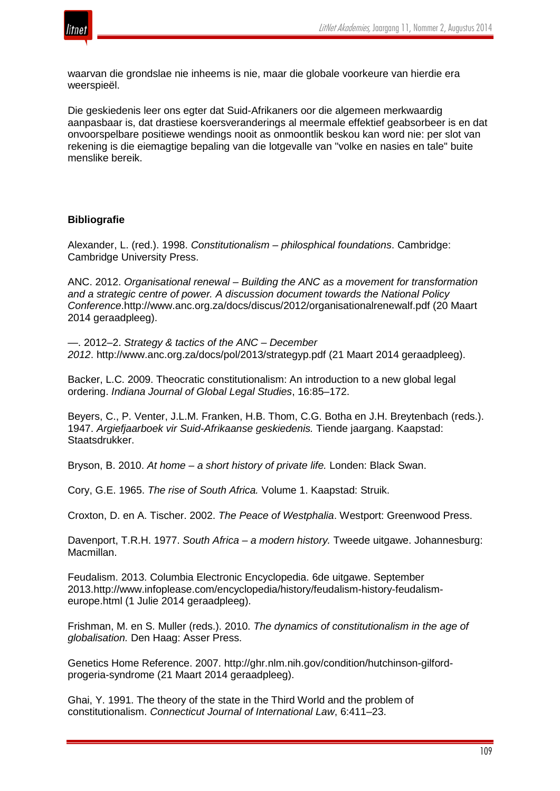

waarvan die grondslae nie inheems is nie, maar die globale voorkeure van hierdie era weerspieël.

Die geskiedenis leer ons egter dat Suid-Afrikaners oor die algemeen merkwaardig aanpasbaar is, dat drastiese koersveranderings al meermale effektief geabsorbeer is en dat onvoorspelbare positiewe wendings nooit as onmoontlik beskou kan word nie: per slot van rekening is die eiemagtige bepaling van die lotgevalle van "volke en nasies en tale" buite menslike bereik.

## **Bibliografie**

Alexander, L. (red.). 1998. *Constitutionalism – philosphical foundations*. Cambridge: Cambridge University Press.

ANC. 2012. *Organisational renewal – Building the ANC as a movement for transformation and a strategic centre of power. A discussion document towards the National Policy Conference*.http://www.anc.org.za/docs/discus/2012/organisationalrenewalf.pdf (20 Maart 2014 geraadpleeg).

—. 2012–2. *Strategy & tactics of the ANC – December 2012*. http://www.anc.org.za/docs/pol/2013/strategyp.pdf (21 Maart 2014 geraadpleeg).

Backer, L.C. 2009. Theocratic constitutionalism: An introduction to a new global legal ordering. *Indiana Journal of Global Legal Studies*, 16:85–172.

Beyers, C., P. Venter, J.L.M. Franken, H.B. Thom, C.G. Botha en J.H. Breytenbach (reds.). 1947. *Argiefjaarboek vir Suid-Afrikaanse geskiedenis.* Tiende jaargang. Kaapstad: Staatsdrukker.

Bryson, B. 2010. *At home – a short history of private life.* Londen: Black Swan.

Cory, G.E. 1965. *The rise of South Africa.* Volume 1. Kaapstad: Struik.

Croxton, D. en A. Tischer. 2002. *The Peace of Westphalia*. Westport: Greenwood Press.

Davenport, T.R.H. 1977. *South Africa – a modern history.* Tweede uitgawe. Johannesburg: Macmillan.

Feudalism. 2013. Columbia Electronic Encyclopedia. 6de uitgawe. September 2013.http://www.infoplease.com/encyclopedia/history/feudalism-history-feudalismeurope.html (1 Julie 2014 geraadpleeg).

Frishman, M. en S. Muller (reds.). 2010. *The dynamics of constitutionalism in the age of globalisation.* Den Haag: Asser Press.

Genetics Home Reference. 2007. http://ghr.nlm.nih.gov/condition/hutchinson-gilfordprogeria-syndrome (21 Maart 2014 geraadpleeg).

Ghai, Y. 1991. The theory of the state in the Third World and the problem of constitutionalism. *Connecticut Journal of International Law*, 6:411–23.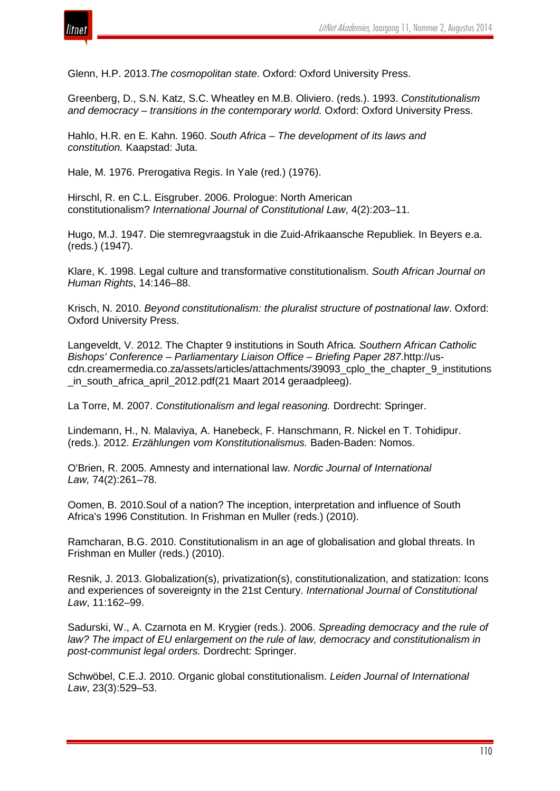

Glenn, H.P. 2013.*The cosmopolitan state*. Oxford: Oxford University Press.

Greenberg, D., S.N. Katz, S.C. Wheatley en M.B. Oliviero. (reds.). 1993. *Constitutionalism and democracy – transitions in the contemporary world.* Oxford: Oxford University Press.

Hahlo, H.R. en E. Kahn. 1960. *South Africa – The development of its laws and constitution.* Kaapstad: Juta.

Hale, M. 1976. Prerogativa Regis. In Yale (red.) (1976).

Hirschl, R. en C.L. Eisgruber. 2006. Prologue: North American constitutionalism? *International Journal of Constitutional Law*, 4(2):203–11.

Hugo, M.J. 1947. Die stemregvraagstuk in die Zuid-Afrikaansche Republiek. In Beyers e.a. (reds.) (1947).

Klare, K. 1998. Legal culture and transformative constitutionalism. *South African Journal on Human Rights*, 14:146–88.

Krisch, N. 2010. *Beyond constitutionalism: the pluralist structure of postnational law*. Oxford: Oxford University Press.

Langeveldt, V. 2012. The Chapter 9 institutions in South Africa. *Southern African Catholic Bishops' Conference – Parliamentary Liaison Office – Briefing Paper 287*.http://uscdn.creamermedia.co.za/assets/articles/attachments/39093\_cplo\_the\_chapter\_9\_institutions \_in\_south\_africa\_april\_2012.pdf(21 Maart 2014 geraadpleeg).

La Torre, M. 2007. *Constitutionalism and legal reasoning.* Dordrecht: Springer.

Lindemann, H., N. Malaviya, A. Hanebeck, F. Hanschmann, R. Nickel en T. Tohidipur. (reds.). 2012. *Erzählungen vom Konstitutionalismus.* Baden-Baden: Nomos.

O'Brien, R. 2005. Amnesty and international law. *Nordic Journal of International Law,* 74(2):261–78.

Oomen, B. 2010.Soul of a nation? The inception, interpretation and influence of South Africa's 1996 Constitution. In Frishman en Muller (reds.) (2010).

Ramcharan, B.G. 2010. Constitutionalism in an age of globalisation and global threats. In Frishman en Muller (reds.) (2010).

Resnik, J. 2013. Globalization(s), privatization(s), constitutionalization, and statization: Icons and experiences of sovereignty in the 21st Century. *International Journal of Constitutional Law*, 11:162–99.

Sadurski, W., A. Czarnota en M. Krygier (reds.). 2006. *Spreading democracy and the rule of law? The impact of EU enlargement on the rule of law, democracy and constitutionalism in post-communist legal orders.* Dordrecht: Springer.

Schwöbel, C.E.J. 2010. Organic global constitutionalism. *Leiden Journal of International Law*, 23(3):529–53.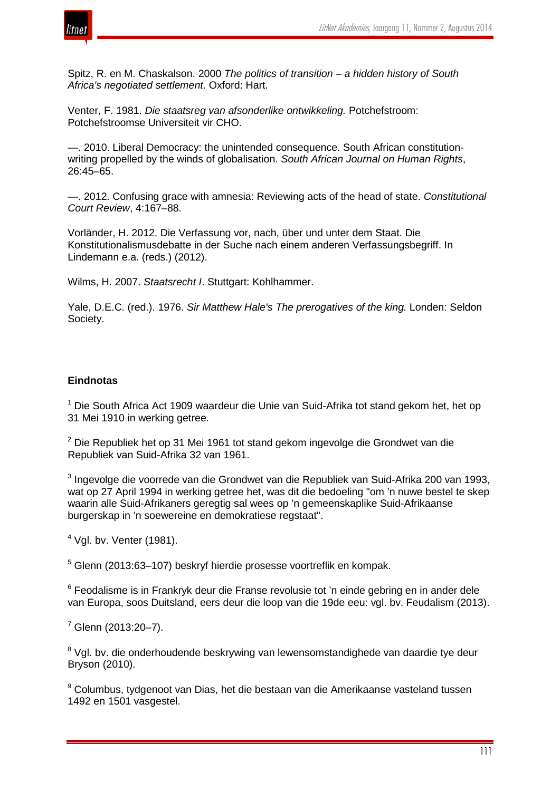

Spitz, R. en M. Chaskalson. 2000 *The politics of transition – a hidden history of South Africa's negotiated settlement*. Oxford: Hart.

Venter, F. 1981. *Die staatsreg van afsonderlike ontwikkeling.* Potchefstroom: Potchefstroomse Universiteit vir CHO.

—. 2010. Liberal Democracy: the unintended consequence. South African constitutionwriting propelled by the winds of globalisation. *South African Journal on Human Rights*, 26:45–65.

—. 2012. Confusing grace with amnesia: Reviewing acts of the head of state. *Constitutional Court Review*, 4:167–88.

Vorländer, H. 2012. Die Verfassung vor, nach, über und unter dem Staat. Die Konstitutionalismusdebatte in der Suche nach einem anderen Verfassungsbegriff. In Lindemann e.a. (reds.) (2012).

Wilms, H. 2007. *Staatsrecht I*. Stuttgart: Kohlhammer.

Yale, D.E.C. (red.). 1976. *Sir Matthew Hale's The prerogatives of the king.* Londen: Seldon Society.

## **Eindnotas**

 $1$  Die South Africa Act 1909 waardeur die Unie van Suid-Afrika tot stand gekom het, het op 31 Mei 1910 in werking getree.

 $2$  Die Republiek het op 31 Mei 1961 tot stand gekom ingevolge die Grondwet van die Republiek van Suid-Afrika 32 van 1961.

<sup>3</sup> Ingevolge die voorrede van die Grondwet van die Republiek van Suid-Afrika 200 van 1993, wat op 27 April 1994 in werking getree het, was dit die bedoeling "om 'n nuwe bestel te skep waarin alle Suid-Afrikaners geregtig sal wees op 'n gemeenskaplike Suid-Afrikaanse burgerskap in 'n soewereine en demokratiese regstaat".

 $<sup>4</sup>$  Val. bv. Venter (1981).</sup>

<sup>5</sup> Glenn (2013:63–107) beskryf hierdie prosesse voortreflik en kompak.

<sup>6</sup> Feodalisme is in Frankryk deur die Franse revolusie tot 'n einde gebring en in ander dele van Europa, soos Duitsland, eers deur die loop van die 19de eeu: vgl. bv. Feudalism (2013).

 $7$  Glenn (2013:20-7).

<sup>8</sup> Vgl. by. die onderhoudende beskrywing van lewensomstandighede van daardie tye deur Bryson (2010).

<sup>9</sup> Columbus, tydgenoot van Dias, het die bestaan van die Amerikaanse vasteland tussen 1492 en 1501 vasgestel.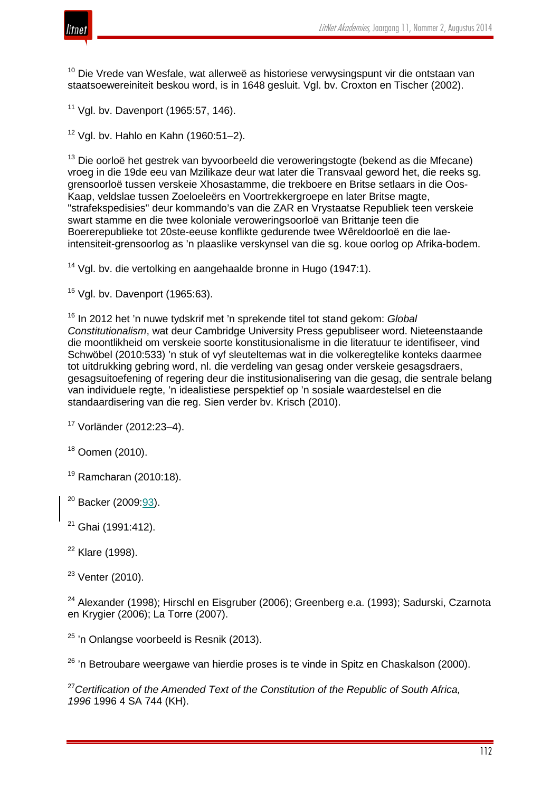

<sup>10</sup> Die Vrede van Wesfale, wat allerweë as historiese verwysingspunt vir die ontstaan van staatsoewereiniteit beskou word, is in 1648 gesluit. Vgl. bv. Croxton en Tischer (2002).

<sup>11</sup> Vgl. by. Davenport (1965:57, 146).

 $12$  Vgl. bv. Hahlo en Kahn (1960:51-2).

<sup>13</sup> Die oorloë het gestrek van byvoorbeeld die veroweringstogte (bekend as die Mfecane) vroeg in die 19de eeu van Mzilikaze deur wat later die Transvaal geword het, die reeks sg. grensoorloë tussen verskeie Xhosastamme, die trekboere en Britse setlaars in die Oos-Kaap, veldslae tussen Zoeloeleërs en Voortrekkergroepe en later Britse magte, "strafekspedisies" deur kommando's van die ZAR en Vrystaatse Republiek teen verskeie swart stamme en die twee koloniale veroweringsoorloë van Brittanje teen die Boererepublieke tot 20ste-eeuse konflikte gedurende twee Wêreldoorloë en die laeintensiteit-grensoorlog as 'n plaaslike verskynsel van die sg. koue oorlog op Afrika-bodem.

<sup>14</sup> Vgl. bv. die vertolking en aangehaalde bronne in Hugo (1947:1).

 $15$  Vgl. by. Davenport (1965:63).

<sup>16</sup> In 2012 het 'n nuwe tydskrif met 'n sprekende titel tot stand gekom: *Global Constitutionalism*, wat deur Cambridge University Press gepubliseer word. Nieteenstaande die moontlikheid om verskeie soorte konstitusionalisme in die literatuur te identifiseer, vind Schwöbel (2010:533) 'n stuk of vyf sleuteltemas wat in die volkeregtelike konteks daarmee tot uitdrukking gebring word, nl. die verdeling van gesag onder verskeie gesagsdraers, gesagsuitoefening of regering deur die institusionalisering van die gesag, die sentrale belang van individuele regte, 'n idealistiese perspektief op 'n sosiale waardestelsel en die standaardisering van die reg. Sien verder bv. Krisch (2010).

<sup>17</sup> Vorländer (2012:23–4).

<sup>18</sup> Oomen (2010).

 $19$  Ramcharan (2010:18).

<sup>20</sup> Backer (2009:93).

<sup>21</sup> Ghai (1991:412).

 $22$  Klare (1998).

 $23$  Venter (2010).

<sup>24</sup> Alexander (1998); Hirschl en Eisgruber (2006); Greenberg e.a. (1993); Sadurski, Czarnota en Krygier (2006); La Torre (2007).

 $25$  'n Onlangse voorbeeld is Resnik (2013).

 $26$  'n Betroubare weergawe van hierdie proses is te vinde in Spitz en Chaskalson (2000).

<sup>27</sup>*Certification of the Amended Text of the Constitution of the Republic of South Africa, 1996* 1996 4 SA 744 (KH).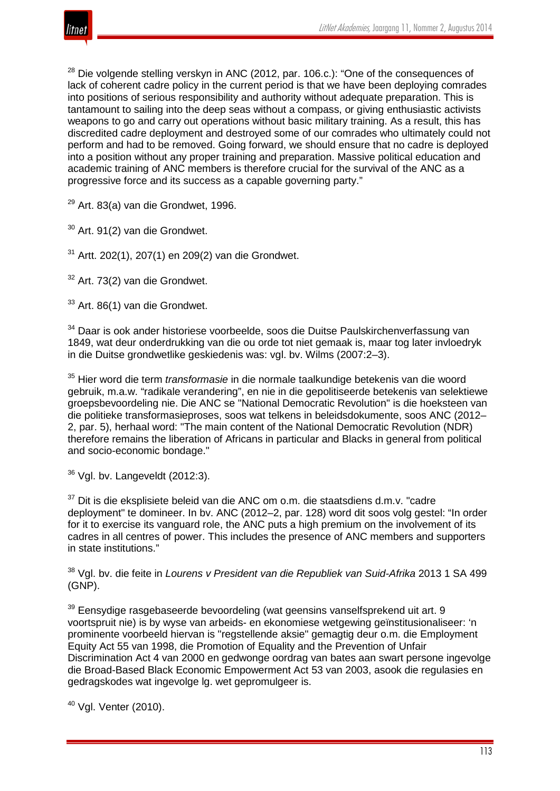

 $28$  Die volgende stelling verskyn in ANC (2012, par. 106.c.): "One of the consequences of lack of coherent cadre policy in the current period is that we have been deploying comrades into positions of serious responsibility and authority without adequate preparation. This is tantamount to sailing into the deep seas without a compass, or giving enthusiastic activists weapons to go and carry out operations without basic military training. As a result, this has discredited cadre deployment and destroyed some of our comrades who ultimately could not perform and had to be removed. Going forward, we should ensure that no cadre is deployed into a position without any proper training and preparation. Massive political education and academic training of ANC members is therefore crucial for the survival of the ANC as a progressive force and its success as a capable governing party."

 $29$  Art. 83(a) van die Grondwet, 1996.

 $30$  Art. 91(2) van die Grondwet.

 $31$  Artt. 202(1), 207(1) en 209(2) van die Grondwet.

 $32$  Art. 73(2) van die Grondwet.

<sup>33</sup> Art. 86(1) van die Grondwet.

<sup>34</sup> Daar is ook ander historiese voorbeelde, soos die Duitse Paulskirchenverfassung van 1849, wat deur onderdrukking van die ou orde tot niet gemaak is, maar tog later invloedryk in die Duitse grondwetlike geskiedenis was: vgl. bv. Wilms (2007:2–3).

<sup>35</sup> Hier word die term *transformasie* in die normale taalkundige betekenis van die woord gebruik, m.a.w. "radikale verandering", en nie in die gepolitiseerde betekenis van selektiewe groepsbevoordeling nie. Die ANC se "National Democratic Revolution" is die hoeksteen van die politieke transformasieproses, soos wat telkens in beleidsdokumente, soos ANC (2012– 2, par. 5), herhaal word: "The main content of the National Democratic Revolution (NDR) therefore remains the liberation of Africans in particular and Blacks in general from political and socio-economic bondage."

 $36$  Vgl. bv. Langeveldt (2012:3).

 $37$  Dit is die eksplisiete beleid van die ANC om o.m. die staatsdiens d.m.v. "cadre deployment" te domineer. In bv. ANC (2012–2, par. 128) word dit soos volg gestel: "In order for it to exercise its vanguard role, the ANC puts a high premium on the involvement of its cadres in all centres of power. This includes the presence of ANC members and supporters in state institutions."

<sup>38</sup> Vgl. bv. die feite in *Lourens v President van die Republiek van Suid-Afrika* 2013 1 SA 499 (GNP).

 $39$  Eensydige rasgebaseerde bevoordeling (wat geensins vanselfsprekend uit art. 9 voortspruit nie) is by wyse van arbeids- en ekonomiese wetgewing geïnstitusionaliseer: 'n prominente voorbeeld hiervan is "regstellende aksie" gemagtig deur o.m. die Employment Equity Act 55 van 1998, die Promotion of Equality and the Prevention of Unfair Discrimination Act 4 van 2000 en gedwonge oordrag van bates aan swart persone ingevolge die Broad-Based Black Economic Empowerment Act 53 van 2003, asook die regulasies en gedragskodes wat ingevolge lg. wet gepromulgeer is.

<sup>40</sup> Vgl. Venter (2010).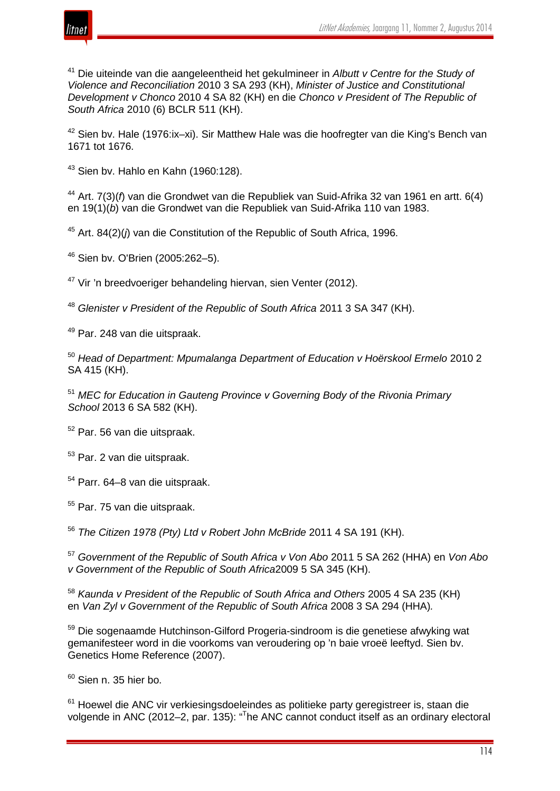



<sup>41</sup> Die uiteinde van die aangeleentheid het gekulmineer in *Albutt v Centre for the Study of Violence and Reconciliation* 2010 3 SA 293 (KH), *Minister of Justice and Constitutional Development v Chonco* 2010 4 SA 82 (KH) en die *Chonco v President of The Republic of South Africa* 2010 (6) BCLR 511 (KH).

<sup>42</sup> Sien bv. Hale (1976:ix–xi). Sir Matthew Hale was die hoofregter van die King's Bench van 1671 tot 1676.

<sup>43</sup> Sien bv. Hahlo en Kahn (1960:128).

<sup>44</sup> Art. 7(3)(*f*) van die Grondwet van die Republiek van Suid-Afrika 32 van 1961 en artt. 6(4) en 19(1)(*b*) van die Grondwet van die Republiek van Suid-Afrika 110 van 1983.

<sup>45</sup> Art. 84(2)(*j*) van die Constitution of the Republic of South Africa, 1996.

<sup>46</sup> Sien bv. O'Brien (2005:262–5).

<sup>47</sup> Vir 'n breedvoeriger behandeling hiervan, sien Venter (2012).

<sup>48</sup> *Glenister v President of the Republic of South Africa* 2011 3 SA 347 (KH).

<sup>49</sup> Par. 248 van die uitspraak.

<sup>50</sup> *Head of Department: Mpumalanga Department of Education v Hoërskool Ermelo* 2010 2 SA 415 (KH).

<sup>51</sup> *MEC for Education in Gauteng Province v Governing Body of the Rivonia Primary School* 2013 6 SA 582 (KH).

<sup>52</sup> Par. 56 van die uitspraak.

<sup>53</sup> Par. 2 van die uitspraak.

<sup>54</sup> Parr. 64–8 van die uitspraak.

<sup>55</sup> Par. 75 van die uitspraak.

<sup>56</sup> *The Citizen 1978 (Pty) Ltd v Robert John McBride* 2011 4 SA 191 (KH).

<sup>57</sup> *Government of the Republic of South Africa v Von Abo* 2011 5 SA 262 (HHA) en *Von Abo v Government of the Republic of South Africa*2009 5 SA 345 (KH).

<sup>58</sup> *Kaunda v President of the Republic of South Africa and Others* 2005 4 SA 235 (KH) en *Van Zyl v Government of the Republic of South Africa* 2008 3 SA 294 (HHA)*.*

<sup>59</sup> Die sogenaamde Hutchinson-Gilford Progeria-sindroom is die genetiese afwyking wat gemanifesteer word in die voorkoms van veroudering op 'n baie vroeë leeftyd. Sien bv. Genetics Home Reference (2007).

 $60$  Sien n. 35 hier bo.

<sup>61</sup> Hoewel die ANC vir verkiesingsdoeleindes as politieke party geregistreer is, staan die volgende in ANC (2012–2, par. 135): "<sup>T</sup>he ANC cannot conduct itself as an ordinary electoral